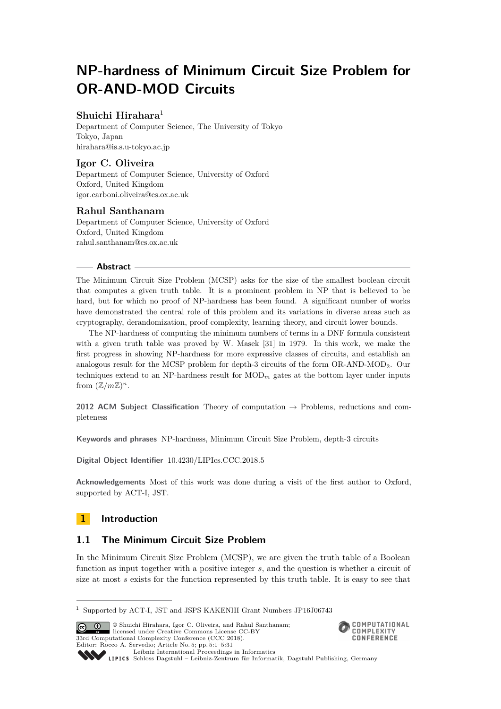# **NP-hardness of Minimum Circuit Size Problem for OR-AND-MOD Circuits**

## **Shuichi Hirahara**<sup>1</sup>

Department of Computer Science, The University of Tokyo Tokyo, Japan [hirahara@is.s.u-tokyo.ac.jp](mailto:hirahara@is.s.u-tokyo.ac.jp)

## **Igor C. Oliveira**

Department of Computer Science, University of Oxford Oxford, United Kingdom [igor.carboni.oliveira@cs.ox.ac.uk](mailto:igor.carboni.oliveira@cs.ox.ac.uk)

## **Rahul Santhanam**

Department of Computer Science, University of Oxford Oxford, United Kingdom [rahul.santhanam@cs.ox.ac.uk](mailto:rahul.santhanam@cs.ox.ac.uk)

## **Abstract**

The Minimum Circuit Size Problem (MCSP) asks for the size of the smallest boolean circuit that computes a given truth table. It is a prominent problem in NP that is believed to be hard, but for which no proof of NP-hardness has been found. A significant number of works have demonstrated the central role of this problem and its variations in diverse areas such as cryptography, derandomization, proof complexity, learning theory, and circuit lower bounds.

The NP-hardness of computing the minimum numbers of terms in a DNF formula consistent with a given truth table was proved by W. Masek [\[31\]](#page-23-0) in 1979. In this work, we make the first progress in showing NP-hardness for more expressive classes of circuits, and establish an analogous result for the MCSP problem for depth-3 circuits of the form OR-AND-MOD2. Our techniques extend to an NP-hardness result for  $\text{MOD}_m$  gates at the bottom layer under inputs from  $(\mathbb{Z}/m\mathbb{Z})^n$ .

**2012 ACM Subject Classification** Theory of computation → Problems, reductions and completeness

**Keywords and phrases** NP-hardness, Minimum Circuit Size Problem, depth-3 circuits

**Digital Object Identifier** [10.4230/LIPIcs.CCC.2018.5](http://dx.doi.org/10.4230/LIPIcs.CCC.2018.5)

**Acknowledgements** Most of this work was done during a visit of the first author to Oxford, supported by ACT-I, JST.

## **1 Introduction**

## **1.1 The Minimum Circuit Size Problem**

In the Minimum Circuit Size Problem (MCSP), we are given the truth table of a Boolean function as input together with a positive integer *s*, and the question is whether a circuit of size at most *s* exists for the function represented by this truth table. It is easy to see that

© Shuichi Hirahara, Igor C. Oliveira, and Rahul Santhanam; licensed under Creative Commons License CC-BY 33rd Computational Complexity Conference (CCC 2018). Editor: Rocco A. Servedio; Article No. 5; pp. 5:1–5[:31](#page-30-0)<br>[Leibniz International Proceedings in Informatics](http://www.dagstuhl.de/lipics/)



Leibniz International Froceedings in Informatik, Dagstuhl Publishing, Germany<br>LIPICS [Schloss Dagstuhl – Leibniz-Zentrum für Informatik, Dagstuhl Publishing, Germany](http://www.dagstuhl.de)

<sup>1</sup> Supported by ACT-I, JST and JSPS KAKENHI Grant Numbers JP16J06743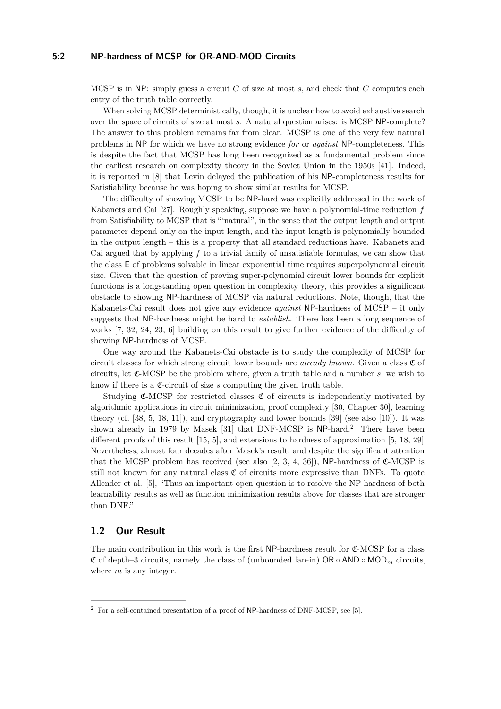#### **5:2 NP-hardness of MCSP for OR-AND-MOD Circuits**

MCSP is in NP: simply guess a circuit *C* of size at most *s*, and check that *C* computes each entry of the truth table correctly.

When solving MCSP deterministically, though, it is unclear how to avoid exhaustive search over the space of circuits of size at most *s*. A natural question arises: is MCSP NP-complete? The answer to this problem remains far from clear. MCSP is one of the very few natural problems in NP for which we have no strong evidence *for* or *against* NP-completeness. This is despite the fact that MCSP has long been recognized as a fundamental problem since the earliest research on complexity theory in the Soviet Union in the 1950s [\[41\]](#page-24-0). Indeed, it is reported in [\[8\]](#page-22-0) that Levin delayed the publication of his NP-completeness results for Satisfiability because he was hoping to show similar results for MCSP.

The difficulty of showing MCSP to be NP-hard was explicitly addressed in the work of Kabanets and Cai [\[27\]](#page-23-1). Roughly speaking, suppose we have a polynomial-time reduction *f* from Satisfiability to MCSP that is "'natural", in the sense that the output length and output parameter depend only on the input length, and the input length is polynomially bounded in the output length – this is a property that all standard reductions have. Kabanets and Cai argued that by applying *f* to a trivial family of unsatisfiable formulas, we can show that the class E of problems solvable in linear exponential time requires superpolynomial circuit size. Given that the question of proving super-polynomial circuit lower bounds for explicit functions is a longstanding open question in complexity theory, this provides a significant obstacle to showing NP-hardness of MCSP via natural reductions. Note, though, that the Kabanets-Cai result does not give any evidence *against* NP-hardness of MCSP – it only suggests that NP-hardness might be hard to *establish*. There has been a long sequence of works [\[7,](#page-22-1) [32,](#page-23-2) [24,](#page-23-3) [23,](#page-23-4) [6\]](#page-22-2) building on this result to give further evidence of the difficulty of showing NP-hardness of MCSP.

One way around the Kabanets-Cai obstacle is to study the complexity of MCSP for circuit classes for which strong circuit lower bounds are *already known*. Given a class  $\mathfrak C$  of circuits, let C-MCSP be the problem where, given a truth table and a number *s*, we wish to know if there is a  $C$ -circuit of size  $s$  computing the given truth table.

Studying  $\mathfrak{C}\text{-MCSP}$  for restricted classes  $\mathfrak{C}$  of circuits is independently motivated by algorithmic applications in circuit minimization, proof complexity [\[30,](#page-23-5) Chapter 30], learning theory (cf. [\[38,](#page-24-1) [5,](#page-21-0) [18,](#page-22-3) [11\]](#page-22-4)), and cryptography and lower bounds [\[39\]](#page-24-2) (see also [\[10\]](#page-22-5)). It was shown already in 1979 by Masek [\[31\]](#page-23-0) that DNF-MCSP is NP-hard.<sup>[2](#page-1-0)</sup> There have been different proofs of this result [\[15,](#page-22-6) [5\]](#page-21-0), and extensions to hardness of approximation [\[5,](#page-21-0) [18,](#page-22-3) [29\]](#page-23-6). Nevertheless, almost four decades after Masek's result, and despite the significant attention that the MCSP problem has received (see also [\[2,](#page-21-1) [3,](#page-21-2) [4,](#page-21-3) [36\]](#page-24-3)), NP-hardness of  $\mathfrak{C}\text{-MCSP}$  is still not known for any natural class  $\mathfrak C$  of circuits more expressive than DNFs. To quote Allender et al. [\[5\]](#page-21-0), "Thus an important open question is to resolve the NP-hardness of both learnability results as well as function minimization results above for classes that are stronger than DNF."

## **1.2 Our Result**

The main contribution in this work is the first  $NP$ -hardness result for  $\mathfrak{C}\text{-MCSP}$  for a class C of depth–3 circuits, namely the class of (unbounded fan-in) OR ◦ AND ◦ MOD*<sup>m</sup>* circuits, where *m* is any integer.

<span id="page-1-0"></span> $2$  For a self-contained presentation of a proof of NP-hardness of DNF-MCSP, see [\[5\]](#page-21-0).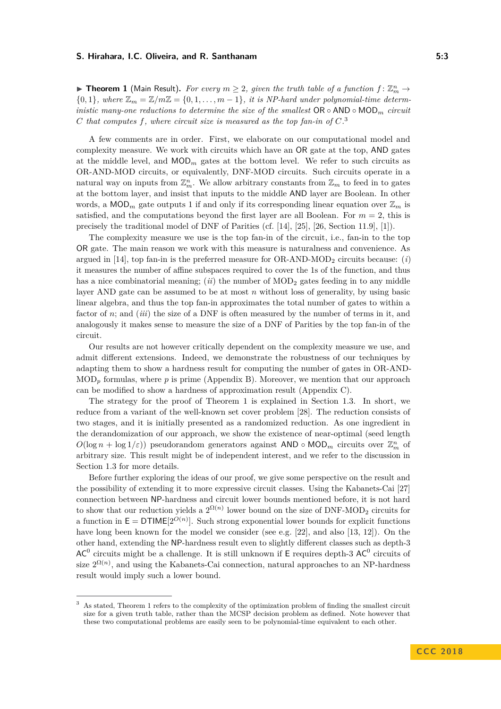<span id="page-2-1"></span>**Fineorem 1** (Main Result). For every  $m \geq 2$ , given the truth table of a function  $f: \mathbb{Z}_m^n \to$  ${0,1}$ *, where*  $\mathbb{Z}_m = \mathbb{Z}/m\mathbb{Z} = \{0,1,\ldots,m-1\}$ *, it is NP-hard under polynomial-time deterministic many-one reductions to determine the size of the smallest*  $OR \circ AND \circ MOD_m$  *circuit C* that computes  $f$ , where circuit size is measured as the top fan-in of  $C$ <sup>[3](#page-2-0)</sup>

A few comments are in order. First, we elaborate on our computational model and complexity measure. We work with circuits which have an OR gate at the top, AND gates at the middle level, and  $MOD_m$  gates at the bottom level. We refer to such circuits as OR-AND-MOD circuits, or equivalently, DNF-MOD circuits. Such circuits operate in a natural way on inputs from  $\mathbb{Z}_m^n$ . We allow arbitrary constants from  $\mathbb{Z}_m$  to feed in to gates at the bottom layer, and insist that inputs to the middle AND layer are Boolean. In other words, a  $\text{MOD}_m$  gate outputs 1 if and only if its corresponding linear equation over  $\mathbb{Z}_m$  is satisfied, and the computations beyond the first layer are all Boolean. For  $m = 2$ , this is precisely the traditional model of DNF of Parities (cf. [\[14\]](#page-22-7), [\[25\]](#page-23-7), [\[26,](#page-23-8) Section 11.9], [\[1\]](#page-21-4)).

The complexity measure we use is the top fan-in of the circuit, i.e., fan-in to the top OR gate. The main reason we work with this measure is naturalness and convenience. As argued in [\[14\]](#page-22-7), top fan-in is the preferred measure for OR-AND-MOD<sup>2</sup> circuits because: (*i*) it measures the number of affine subspaces required to cover the 1s of the function, and thus has a nice combinatorial meaning;  $(ii)$  the number of  $MOD_2$  gates feeding in to any middle layer AND gate can be assumed to be at most *n* without loss of generality, by using basic linear algebra, and thus the top fan-in approximates the total number of gates to within a factor of *n*; and (*iii*) the size of a DNF is often measured by the number of terms in it, and analogously it makes sense to measure the size of a DNF of Parities by the top fan-in of the circuit.

Our results are not however critically dependent on the complexity measure we use, and admit different extensions. Indeed, we demonstrate the robustness of our techniques by adapting them to show a hardness result for computing the number of gates in OR-AND-MOD*<sup>p</sup>* formulas, where *p* is prime (Appendix [B\)](#page-25-0). Moreover, we mention that our approach can be modified to show a hardness of approximation result (Appendix [C\)](#page-27-0).

The strategy for the proof of Theorem [1](#page-2-1) is explained in Section [1.3.](#page-3-0) In short, we reduce from a variant of the well-known set cover problem [\[28\]](#page-23-9). The reduction consists of two stages, and it is initially presented as a randomized reduction. As one ingredient in the derandomization of our approach, we show the existence of near-optimal (seed length  $O(\log n + \log 1/\varepsilon)$  pseudorandom generators against AND  $\circ$  MOD<sub>*m*</sub> circuits over  $\mathbb{Z}_m^n$  of arbitrary size. This result might be of independent interest, and we refer to the discussion in Section [1.3](#page-3-0) for more details.

Before further exploring the ideas of our proof, we give some perspective on the result and the possibility of extending it to more expressive circuit classes. Using the Kabanets-Cai [\[27\]](#page-23-1) connection between NP-hardness and circuit lower bounds mentioned before, it is not hard to show that our reduction yields a  $2^{\Omega(n)}$  lower bound on the size of DNF-MOD<sub>2</sub> circuits for a function in  $E = DTIME[2^{O(n)}]$ . Such strong exponential lower bounds for explicit functions have long been known for the model we consider (see e.g. [\[22\]](#page-23-10), and also [\[13,](#page-22-8) [12\]](#page-22-9)). On the other hand, extending the NP-hardness result even to slightly different classes such as depth-3  $AC<sup>0</sup>$  circuits might be a challenge. It is still unknown if E requires depth-3 AC<sup>0</sup> circuits of size  $2^{\Omega(n)}$ , and using the Kabanets-Cai connection, natural approaches to an NP-hardness result would imply such a lower bound.

<span id="page-2-0"></span><sup>3</sup> As stated, Theorem [1](#page-2-1) refers to the complexity of the optimization problem of finding the smallest circuit size for a given truth table, rather than the MCSP decision problem as defined. Note however that these two computational problems are easily seen to be polynomial-time equivalent to each other.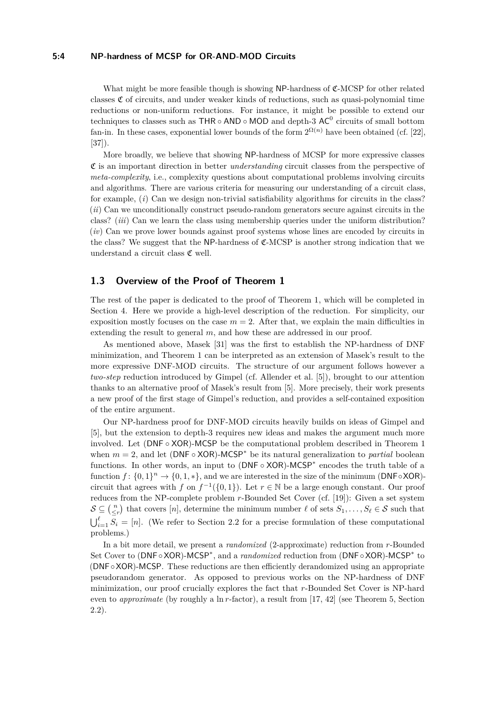#### **5:4 NP-hardness of MCSP for OR-AND-MOD Circuits**

What might be more feasible though is showing NP-hardness of C-MCSP for other related classes  $\mathfrak C$  of circuits, and under weaker kinds of reductions, such as quasi-polynomial time reductions or non-uniform reductions. For instance, it might be possible to extend our techniques to classes such as  $THR \circ AND \circ MOD$  and depth-3 AC<sup>0</sup> circuits of small bottom fan-in. In these cases, exponential lower bounds of the form  $2^{\Omega(n)}$  have been obtained (cf. [\[22\]](#page-23-10), [\[37\]](#page-24-4)).

More broadly, we believe that showing NP-hardness of MCSP for more expressive classes C is an important direction in better *understanding* circuit classes from the perspective of *meta-complexity*, i.e., complexity questions about computational problems involving circuits and algorithms. There are various criteria for measuring our understanding of a circuit class, for example, (*i*) Can we design non-trivial satisfiability algorithms for circuits in the class? (*ii*) Can we unconditionally construct pseudo-random generators secure against circuits in the class? (*iii*) Can we learn the class using membership queries under the uniform distribution? (*iv*) Can we prove lower bounds against proof systems whose lines are encoded by circuits in the class? We suggest that the NP-hardness of  $\mathfrak{C}\text{-MCSP}$  is another strong indication that we understand a circuit class  ${\mathfrak C}$  well.

## <span id="page-3-0"></span>**1.3 Overview of the Proof of Theorem [1](#page-2-1)**

The rest of the paper is dedicated to the proof of Theorem [1,](#page-2-1) which will be completed in Section [4.](#page-15-0) Here we provide a high-level description of the reduction. For simplicity, our exposition mostly focuses on the case  $m = 2$ . After that, we explain the main difficulties in extending the result to general m, and how these are addressed in our proof.

As mentioned above, Masek [\[31\]](#page-23-0) was the first to establish the NP-hardness of DNF minimization, and Theorem [1](#page-2-1) can be interpreted as an extension of Masek's result to the more expressive DNF-MOD circuits. The structure of our argument follows however a *two-step* reduction introduced by Gimpel (cf. Allender et al. [\[5\]](#page-21-0)), brought to our attention thanks to an alternative proof of Masek's result from [\[5\]](#page-21-0). More precisely, their work presents a new proof of the first stage of Gimpel's reduction, and provides a self-contained exposition of the entire argument.

Our NP-hardness proof for DNF-MOD circuits heavily builds on ideas of Gimpel and [\[5\]](#page-21-0), but the extension to depth-3 requires new ideas and makes the argument much more involved. Let (DNF ◦ XOR)-MCSP be the computational problem described in Theorem [1](#page-2-1) when  $m = 2$ , and let (DNF  $\circ$  XOR)-MCSP<sup>\*</sup> be its natural generalization to *partial* boolean functions. In other words, an input to (DNF ∘ XOR)-MCSP<sup>\*</sup> encodes the truth table of a function  $f: \{0,1\}^n \to \{0,1,*\}$ , and we are interested in the size of the minimum (DNF◦XOR)circuit that agrees with *f* on  $f^{-1}(\{0,1\})$ . Let  $r \in \mathbb{N}$  be a large enough constant. Our proof reduces from the NP-complete problem *r*-Bounded Set Cover (cf. [\[19\]](#page-22-10)): Given a set system  $S \subseteq {n \choose \leq r}$  that covers [*n*], determine the minimum number  $\ell$  of sets  $S_1, \ldots, S_\ell \in S$  such that  $\bigcup_{i=1}^{\ell} S_i = [n]$ . (We refer to Section [2.2](#page-7-0) for a precise formulation of these computational problems.)

In a bit more detail, we present a *randomized* (2-approximate) reduction from *r*-Bounded Set Cover to (DNF◦XOR)-MCSP<sup>∗</sup>, and a *randomized* reduction from (DNF◦XOR)-MCSP<sup>∗</sup> to (DNF◦XOR)-MCSP. These reductions are then efficiently derandomized using an appropriate pseudorandom generator. As opposed to previous works on the NP-hardness of DNF minimization, our proof crucially explores the fact that *r*-Bounded Set Cover is NP-hard even to *approximate* (by roughly a ln *r*-factor), a result from [\[17,](#page-22-11) [42\]](#page-24-5) (see Theorem [5,](#page-8-0) Section [2.2\)](#page-7-0).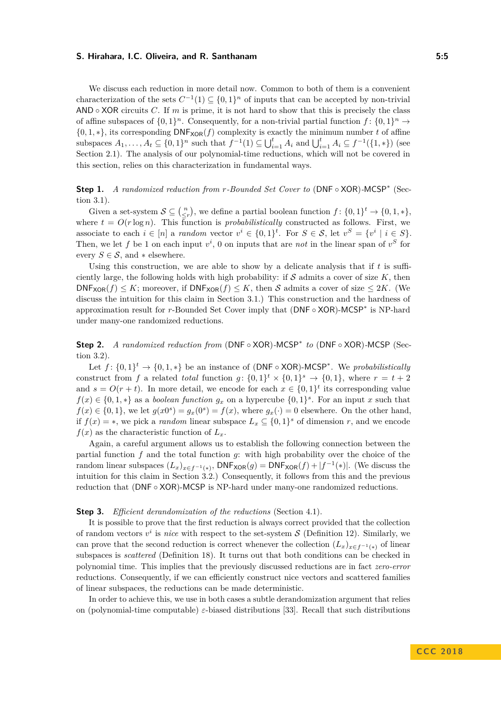We discuss each reduction in more detail now. Common to both of them is a convenient characterization of the sets  $C^{-1}(1) \subseteq \{0,1\}^n$  of inputs that can be accepted by non-trivial AND  $\circ$  XOR circuits *C*. If *m* is prime, it is not hard to show that this is precisely the class of affine subspaces of  $\{0,1\}^n$ . Consequently, for a non-trivial partial function  $f: \{0,1\}^n \to$  $\{0, 1, *\}$ , its corresponding  $DNF_{XOR}(f)$  complexity is exactly the minimum number *t* of affine subspaces  $A_1, ..., A_t \subseteq \{0, 1\}^n$  such that  $f^{-1}(1) \subseteq \bigcup_{i=1}^t A_i$  and  $\bigcup_{i=1}^t A_i \subseteq f^{-1}(\{1, *\})$  (see Section [2.1\)](#page-6-0). The analysis of our polynomial-time reductions, which will not be covered in this section, relies on this characterization in fundamental ways.

**Step 1.** *A randomized reduction from r-Bounded Set Cover to* (DNF ◦ XOR)*-*MCSP<sup>∗</sup> (Section [3.1\)](#page-8-1).

Given a set-system  $S \subseteq \binom{n}{\leq r}$ , we define a partial boolean function  $f: \{0,1\}^t \to \{0,1,*\}$ , where  $t = O(r \log n)$ . This function is *probabilistically* constructed as follows. First, we associate to each  $i \in [n]$  a *random* vector  $v^i \in \{0,1\}^t$ . For  $S \in \mathcal{S}$ , let  $v^S = \{v^i \mid i \in S\}$ . Then, we let f be 1 on each input  $v^i$ , 0 on inputs that are *not* in the linear span of  $v^S$  for every  $S \in \mathcal{S}$ , and  $*$  elsewhere.

Using this construction, we are able to show by a delicate analysis that if *t* is sufficiently large, the following holds with high probability: if  $S$  admits a cover of size  $K$ , then  $DNF_{XOR}(f) \leq K$ ; moreover, if  $DNF_{XOR}(f) \leq K$ , then S admits a cover of size  $\leq 2K$ . (We discuss the intuition for this claim in Section [3.1.](#page-8-1)) This construction and the hardness of approximation result for *r*-Bounded Set Cover imply that (DNF ◦ XOR)-MCSP<sup>∗</sup> is NP-hard under many-one randomized reductions.

**Step 2.** *A randomized reduction from* (DNF ◦ XOR)*-*MCSP<sup>∗</sup> *to* (DNF ◦ XOR)*-*MCSP (Section [3.2\)](#page-12-0).

Let  $f: \{0,1\}^t \to \{0,1,*\}$  be an instance of (DNF ∘ XOR)-MCSP<sup>\*</sup>. We *probabilistically* construct from *f* a related *total* function  $g: \{0,1\}^t \times \{0,1\}^s \to \{0,1\}$ , where  $r = t + 2$ and  $s = O(r + t)$ . In more detail, we encode for each  $x \in \{0, 1\}^t$  its corresponding value  $f(x) \in \{0, 1, *\}$  as a *boolean function*  $g_x$  on a hypercube  $\{0, 1\}^s$ . For an input *x* such that  $f(x) \in \{0, 1\}$ , we let  $g(x0<sup>s</sup>) = g_x(0<sup>s</sup>) = f(x)$ , where  $g_x(\cdot) = 0$  elsewhere. On the other hand, if  $f(x) = *$ , we pick a *random* linear subspace  $L_x \subseteq \{0,1\}^s$  of dimension *r*, and we encode  $f(x)$  as the characteristic function of  $L<sub>x</sub>$ .

Again, a careful argument allows us to establish the following connection between the partial function *f* and the total function *g*: with high probability over the choice of the random linear subspaces  $(L_x)_{x \in f^{-1}(*)}$ ,  $\mathsf{DNF}_{\mathsf{XOR}}(g) = \mathsf{DNF}_{\mathsf{XOR}}(f) + |f^{-1}(*)|$ . (We discuss the intuition for this claim in Section [3.2.](#page-12-0)) Consequently, it follows from this and the previous reduction that (DNF ◦ XOR)-MCSP is NP-hard under many-one randomized reductions.

#### **Step 3.** *Efficient derandomization of the reductions* (Section [4.1\)](#page-16-0).

It is possible to prove that the first reduction is always correct provided that the collection of random vectors  $v^i$  is *nice* with respect to the set-system  $S$  (Definition [12\)](#page-10-0). Similarly, we can prove that the second reduction is correct whenever the collection  $(L_x)_{x \in f^{-1}(*)}$  of linear subspaces is *scattered* (Definition [18\)](#page-13-0). It turns out that both conditions can be checked in polynomial time. This implies that the previously discussed reductions are in fact *zero-error* reductions. Consequently, if we can efficiently construct nice vectors and scattered families of linear subspaces, the reductions can be made deterministic.

In order to achieve this, we use in both cases a subtle derandomization argument that relies on (polynomial-time computable) *ε*-biased distributions [\[33\]](#page-23-11). Recall that such distributions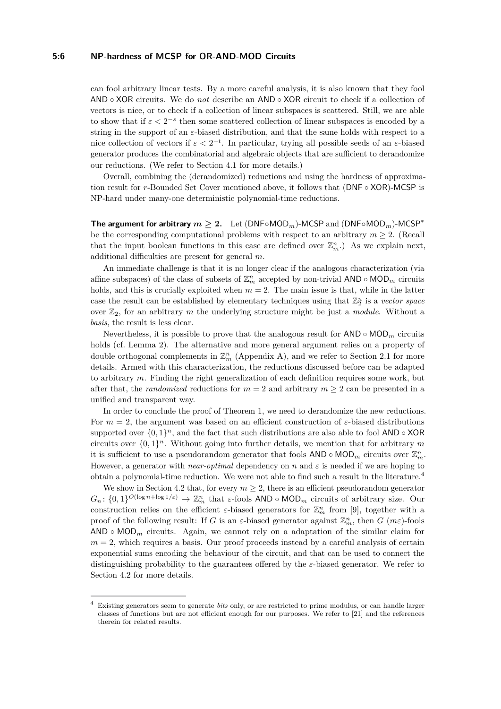#### **5:6 NP-hardness of MCSP for OR-AND-MOD Circuits**

can fool arbitrary linear tests. By a more careful analysis, it is also known that they fool AND ◦ XOR circuits. We do *not* describe an AND ◦ XOR circuit to check if a collection of vectors is nice, or to check if a collection of linear subspaces is scattered. Still, we are able to show that if  $\varepsilon < 2^{-s}$  then some scattered collection of linear subspaces is encoded by a string in the support of an *ε*-biased distribution, and that the same holds with respect to a nice collection of vectors if  $\varepsilon < 2^{-t}$ . In particular, trying all possible seeds of an  $\varepsilon$ -biased generator produces the combinatorial and algebraic objects that are sufficient to derandomize our reductions. (We refer to Section [4.1](#page-16-0) for more details.)

Overall, combining the (derandomized) reductions and using the hardness of approximation result for *r*-Bounded Set Cover mentioned above, it follows that (DNF ◦ XOR)-MCSP is NP-hard under many-one deterministic polynomial-time reductions.

**The argument for arbitrary**  $m \geq 2$ . Let (DNF◦MOD<sub>*m*</sub>)-MCSP and (DNF◦MOD<sub>*m*</sub>)-MCSP<sup>\*</sup> be the corresponding computational problems with respect to an arbitrary  $m \geq 2$ . (Recall that the input boolean functions in this case are defined over  $\mathbb{Z}_m^n$ .) As we explain next, additional difficulties are present for general *m*.

An immediate challenge is that it is no longer clear if the analogous characterization (via affine subspaces) of the class of subsets of  $\mathbb{Z}_m^n$  accepted by non-trivial  $\mathsf{AND} \circ \mathsf{MOD}_m$  circuits holds, and this is crucially exploited when  $m = 2$ . The main issue is that, while in the latter case the result can be established by elementary techniques using that  $\mathbb{Z}_2^n$  is a *vector space* over  $\mathbb{Z}_2$ , for an arbitrary *m* the underlying structure might be just a *module*. Without a *basis*, the result is less clear.

Nevertheless, it is possible to prove that the analogous result for  $AND \circ MOD_m$  circuits holds (cf. Lemma [2\)](#page-6-1). The alternative and more general argument relies on a property of double orthogonal complements in  $\mathbb{Z}_m^n$  (Appendix [A\)](#page-24-6), and we refer to Section [2.1](#page-6-0) for more details. Armed with this characterization, the reductions discussed before can be adapted to arbitrary *m*. Finding the right generalization of each definition requires some work, but after that, the *randomized* reductions for  $m = 2$  and arbitrary  $m \geq 2$  can be presented in a unified and transparent way.

In order to conclude the proof of Theorem [1,](#page-2-1) we need to derandomize the new reductions. For  $m = 2$ , the argument was based on an efficient construction of  $\varepsilon$ -biased distributions supported over  $\{0,1\}^n$ , and the fact that such distributions are also able to fool AND  $\circ$  XOR circuits over  $\{0,1\}^n$ . Without going into further details, we mention that for arbitrary m it is sufficient to use a pseudorandom generator that fools  $\mathsf{AND} \circ \mathsf{MOD}_m$  circuits over  $\mathbb{Z}_m^n$ . However, a generator with *near-optimal* dependency on *n* and  $\varepsilon$  is needed if we are hoping to obtain a polynomial-time reduction. We were not able to find such a result in the literature.[4](#page-5-0)

We show in Section [4.2](#page-18-0) that, for every  $m \geq 2$ , there is an efficient pseudorandom generator  $G_n: \{0,1\}^{O(\log n + \log 1/\varepsilon)} \to \mathbb{Z}_m^n$  that  $\varepsilon$ -fools AND ◦ MOD<sub>*m*</sub> circuits of arbitrary size. Our construction relies on the efficient  $\varepsilon$ -biased generators for  $\mathbb{Z}_m^n$  from [\[9\]](#page-22-12), together with a proof of the following result: If *G* is an *ε*-biased generator against  $\mathbb{Z}_m^n$ , then *G* (*mε*)-fools AND  $\circ$  MOD<sub>*m*</sub> circuits. Again, we cannot rely on a adaptation of the similar claim for  $m = 2$ , which requires a basis. Our proof proceeds instead by a careful analysis of certain exponential sums encoding the behaviour of the circuit, and that can be used to connect the distinguishing probability to the guarantees offered by the *ε*-biased generator. We refer to Section [4.2](#page-18-0) for more details.

<span id="page-5-0"></span><sup>4</sup> Existing generators seem to generate *bits* only, or are restricted to prime modulus, or can handle larger classes of functions but are not efficient enough for our purposes. We refer to [\[21\]](#page-23-12) and the references therein for related results.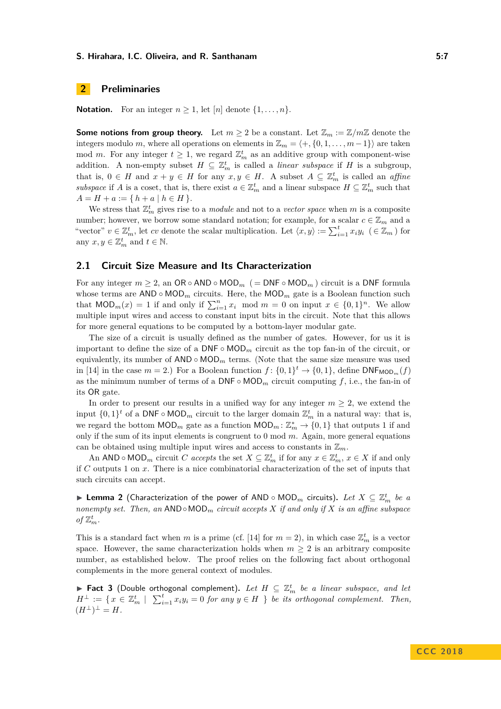## **2 Preliminaries**

**Notation.** For an integer  $n \geq 1$ , let [*n*] denote  $\{1, \ldots, n\}$ .

**Some notions from group theory.** Let  $m \geq 2$  be a constant. Let  $\mathbb{Z}_m := \mathbb{Z}/m\mathbb{Z}$  denote the integers modulo *m*, where all operations on elements in  $\mathbb{Z}_m = \langle +, \{0, 1, \ldots, m-1\} \rangle$  are taken mod *m*. For any integer  $t \geq 1$ , we regard  $\mathbb{Z}_m^t$  as an additive group with component-wise addition. A non-empty subset  $H \subseteq \mathbb{Z}_m^t$  is called a *linear subspace* if H is a subgroup, that is,  $0 \in H$  and  $x + y \in H$  for any  $x, y \in H$ . A subset  $A \subseteq \mathbb{Z}_m^t$  is called an *affine subspace* if *A* is a coset, that is, there exist  $a \in \mathbb{Z}_m^t$  and a linear subspace  $H \subseteq \mathbb{Z}_m^t$  such that  $A = H + a := \{ h + a | h \in H \}.$ 

We stress that  $\mathbb{Z}_m^t$  gives rise to a *module* and not to a *vector space* when *m* is a composite number; however, we borrow some standard notation; for example, for a scalar  $c \in \mathbb{Z}_m$  and a "vector"  $v \in \mathbb{Z}_m^t$ , let cv denote the scalar multiplication. Let  $\langle x, y \rangle := \sum_{i=1}^t x_i y_i \in \mathbb{Z}_m$  for any  $x, y \in \mathbb{Z}_m^t$  and  $t \in \mathbb{N}$ .

#### <span id="page-6-0"></span>**2.1 Circuit Size Measure and Its Characterization**

For any integer  $m > 2$ , an OR ◦ AND ◦ MOD<sub>*m*</sub> (= DNF ◦ MOD<sub>*m*</sub>) circuit is a DNF formula whose terms are  $AND \circ MOD_m$  circuits. Here, the  $MOD_m$  gate is a Boolean function such that  $\text{MOD}_m(x) = 1$  if and only if  $\sum_{i=1}^n x_i \mod m = 0$  on input  $x \in \{0,1\}^n$ . We allow multiple input wires and access to constant input bits in the circuit. Note that this allows for more general equations to be computed by a bottom-layer modular gate.

The size of a circuit is usually defined as the number of gates. However, for us it is important to define the size of a  $\text{DNF} \circ \text{MOD}_m$  circuit as the top fan-in of the circuit, or equivalently, its number of  $AND \circ MOD_m$  terms. (Note that the same size measure was used in [\[14\]](#page-22-7) in the case  $m = 2$ .) For a Boolean function  $f: \{0,1\}^t \to \{0,1\}$ , define  $\text{DNF}_{\text{MOD}_m}(f)$ as the minimum number of terms of a  $\text{DNF} \circ \text{MOD}_m$  circuit computing f, i.e., the fan-in of its OR gate.

In order to present our results in a unified way for any integer  $m \geq 2$ , we extend the input  $\{0,1\}^t$  of a DNF ∘ MOD<sub>*m*</sub> circuit to the larger domain  $\mathbb{Z}_m^t$  in a natural way: that is, we regard the bottom  $\text{MOD}_m$  gate as a function  $\text{MOD}_m: \mathbb{Z}_m^* \to \{0,1\}$  that outputs 1 if and only if the sum of its input elements is congruent to 0 mod *m*. Again, more general equations can be obtained using multiple input wires and access to constants in  $\mathbb{Z}_m$ .

An AND  $\circ$  MOD<sub>*m*</sub> circuit *C accepts* the set  $X \subseteq \mathbb{Z}_m^t$  if for any  $x \in \mathbb{Z}_m^t$ ,  $x \in X$  if and only if *C* outputs 1 on *x*. There is a nice combinatorial characterization of the set of inputs that such circuits can accept.

<span id="page-6-1"></span>▶ Lemma 2 (Characterization of the power of AND ◦ MOD<sub>*m*</sub> circuits). Let  $X \subseteq \mathbb{Z}_m^t$  be a *nonempty set. Then, an* AND◦MOD*<sup>m</sup> circuit accepts X if and only if X is an affine subspace* of  $\mathbb{Z}_m^t$ .

This is a standard fact when *m* is a prime (cf. [\[14\]](#page-22-7) for  $m = 2$ ), in which case  $\mathbb{Z}_m^t$  is a vector space. However, the same characterization holds when  $m \geq 2$  is an arbitrary composite number, as established below. The proof relies on the following fact about orthogonal complements in the more general context of modules.

<span id="page-6-2"></span>**Fact 3** (Double orthogonal complement). Let  $H \subseteq \mathbb{Z}_m^t$  be a linear subspace, and let  $H^{\perp} := \{ x \in \mathbb{Z}_{m}^t \mid \sum_{i=1}^t x_i y_i = 0 \text{ for any } y \in H \}$  *be its orthogonal complement. Then,*  $(H^{\perp})^{\perp} = H.$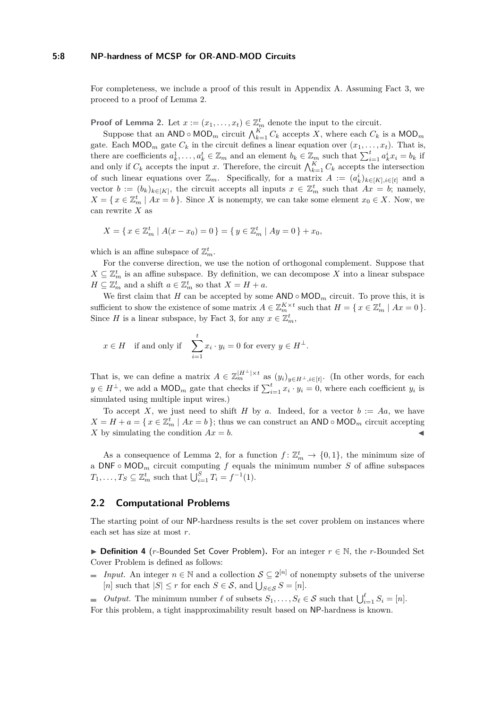#### **5:8 NP-hardness of MCSP for OR-AND-MOD Circuits**

For completeness, we include a proof of this result in Appendix [A.](#page-24-6) Assuming Fact [3,](#page-6-2) we proceed to a proof of Lemma [2.](#page-6-1)

**Proof of Lemma [2.](#page-6-1)** Let  $x := (x_1, \ldots, x_t) \in \mathbb{Z}_m^t$  denote the input to the circuit.

Suppose that an AND ∘ MOD<sub>*m*</sub> circuit  $\bigwedge_{k=1}^{K} C_k$  accepts X, where each  $C_k$  is a MOD<sub>*m*</sub> gate. Each  $\textsf{MOD}_m$  gate  $C_k$  in the circuit defines a linear equation over  $(x_1, \ldots, x_t)$ . That is, there are coefficients  $a_k^1, \ldots, a_k^t \in \mathbb{Z}_m$  and an element  $b_k \in \mathbb{Z}_m$  such that  $\sum_{i=1}^t a_k^i x_i = b_k$  if and only if  $C_k$  accepts the input *x*. Therefore, the circuit  $\bigwedge_{k=1}^K C_k$  accepts the intersection of such linear equations over  $\mathbb{Z}_m$ . Specifically, for a matrix  $A := (a_k^i)_{k \in [K], i \in [t]}$  and a vector  $b := (b_k)_{k \in [K]}$ , the circuit accepts all inputs  $x \in \mathbb{Z}_m^t$  such that  $Ax = b$ ; namely,  $X = \{ x \in \mathbb{Z}_m^t \mid Ax = b \}.$  Since *X* is nonempty, we can take some element  $x_0 \in X$ . Now, we can rewrite *X* as

$$
X = \{ x \in \mathbb{Z}_m^t \mid A(x - x_0) = 0 \} = \{ y \in \mathbb{Z}_m^t \mid Ay = 0 \} + x_0,
$$

which is an affine subspace of  $\mathbb{Z}_m^t$ .

For the converse direction, we use the notion of orthogonal complement. Suppose that  $X \subseteq \mathbb{Z}_m^t$  is an affine subspace. By definition, we can decompose X into a linear subspace  $H \subseteq \mathbb{Z}_m^t$  and a shift  $a \in \mathbb{Z}_m^t$  so that  $X = H + a$ .

We first claim that *H* can be accepted by some  $AND \circ MOD_m$  circuit. To prove this, it is sufficient to show the existence of some matrix  $A \in \mathbb{Z}_m^{K \times t}$  such that  $H = \{ x \in \mathbb{Z}_m^t \mid Ax = 0 \}$ . Since *H* is a linear subspace, by Fact [3,](#page-6-2) for any  $x \in \mathbb{Z}_m^t$ ,

$$
x \in H
$$
 if and only if  $\sum_{i=1}^{t} x_i \cdot y_i = 0$  for every  $y \in H^{\perp}$ .

That is, we can define a matrix  $A \in \mathbb{Z}_m^{|H^{\perp}| \times t}$  as  $(y_i)_{y \in H^{\perp}, i \in [t]}$ . (In other words, for each *y* ∈ *H*<sup>⊥</sup>, we add a MOD<sub>*m*</sub> gate that checks if  $\sum_{i=1}^{t} x_i \cdot y_i = 0$ , where each coefficient *y<sub>i</sub>* is simulated using multiple input wires.)

To accept X, we just need to shift  $H$  by  $a$ . Indeed, for a vector  $b := Aa$ , we have  $X = H + a = \{ x \in \mathbb{Z}_m^t \mid Ax = b \}$ ; thus we can construct an AND ◦ MOD<sub>*m*</sub> circuit accepting *X* by simulating the condition  $Ax = b$ .

As a consequence of Lemma [2,](#page-6-1) for a function  $f: \mathbb{Z}_m^t \to \{0,1\}$ , the minimum size of a DNF ◦ MOD*<sup>m</sup>* circuit computing *f* equals the minimum number *S* of affine subspaces  $T_1, \ldots, T_S \subseteq \mathbb{Z}_m^t$  such that  $\bigcup_{i=1}^S T_i = f^{-1}(1)$ .

#### <span id="page-7-0"></span>**2.2 Computational Problems**

The starting point of our NP-hardness results is the set cover problem on instances where each set has size at most *r*.

**► Definition 4** (*r*-Bounded Set Cover Problem). For an integer  $r \in \mathbb{N}$ , the *r*-Bounded Set Cover Problem is defined as follows:

*Input.* An integer  $n \in \mathbb{N}$  and a collection  $\mathcal{S} \subseteq 2^{[n]}$  of nonempty subsets of the universe [*n*] such that  $|S| \le r$  for each  $S \in \mathcal{S}$ , and  $\bigcup_{S \in \mathcal{S}} S = [n]$ .

*Output.* The minimum number  $\ell$  of subsets  $S_1, \ldots, S_\ell \in \mathcal{S}$  such that  $\bigcup_{i=1}^{\ell} S_i = [n]$ . For this problem, a tight inapproximability result based on NP-hardness is known.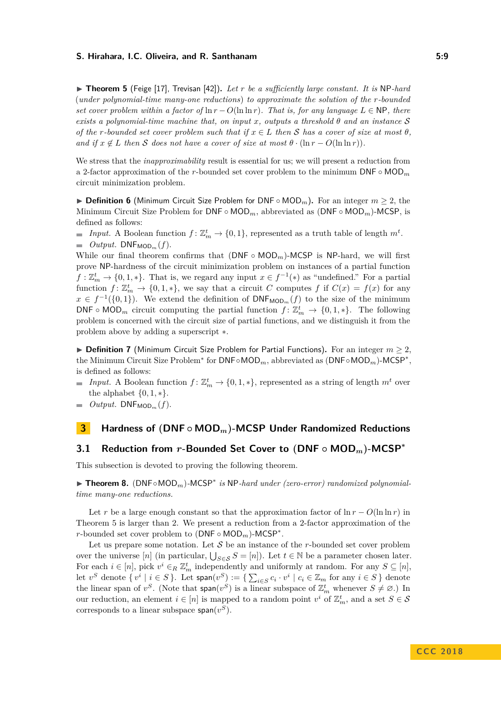<span id="page-8-0"></span>▶ Theorem 5 (Feige [\[17\]](#page-22-11), Trevisan [\[42\]](#page-24-5)). Let r be a sufficiently large constant. It is NP-hard (*under polynomial-time many-one reductions*) *to approximate the solution of the r-bounded set cover problem within a factor of*  $\ln r - O(\ln \ln r)$ *. That is, for any language*  $L \in \mathsf{NP}$ *, there exists a polynomial-time machine that, on input x, outputs a threshold θ and an instance* S *of the r*-bounded set cover problem such that if  $x \in L$  then S has a cover of size at most  $\theta$ . *and if*  $x \notin L$  *then* S *does not have a cover of size at most*  $\theta \cdot (\ln r - O(\ln \ln r))$ .

We stress that the *inapproximability* result is essential for us; we will present a reduction from a 2-factor approximation of the *r*-bounded set cover problem to the minimum DNF ◦ MOD*<sup>m</sup>* circuit minimization problem.

I **Definition 6** (Minimum Circuit Size Problem for DNF ◦ MOD*m*)**.** For an integer *m* ≥ 2, the Minimum Circuit Size Problem for DNF ◦ MOD*m*, abbreviated as (DNF ◦ MOD*m*)-MCSP, is defined as follows:

*Input.* A Boolean function  $f: \mathbb{Z}_m^t \to \{0,1\}$ , represented as a truth table of length  $m^t$ .  $\blacksquare$  *Output.* DNF<sub>MOD<sub>*m*</sub></sub>(*f*).

While our final theorem confirms that  $(DNF \circ MOD_m)$ -MCSP is NP-hard, we will first prove NP-hardness of the circuit minimization problem on instances of a partial function  $f: \mathbb{Z}_m^t \to \{0,1,\ast\}.$  That is, we regard any input  $x \in f^{-1}(\ast)$  as "undefined." For a partial function  $f: \mathbb{Z}_m^t \to \{0,1,\ast\}$ , we say that a circuit *C* computes *f* if  $C(x) = f(x)$  for any  $x \in f^{-1}(\{0,1\})$ . We extend the definition of  $\text{DNF}_{\text{MOD}_m}(f)$  to the size of the minimum DNF  $\circ$  MOD<sub>*m*</sub> circuit computing the partial function  $f: \mathbb{Z}_m^t \to \{0, 1, *\}$ . The following problem is concerned with the circuit size of partial functions, and we distinguish it from the problem above by adding a superscript ∗.

I **Definition 7** (Minimum Circuit Size Problem for Partial Functions)**.** For an integer *m* ≥ 2, the Minimum Circuit Size Problem<sup>\*</sup> for DNF∘MOD<sub>m</sub>, abbreviated as (DNF∘MOD<sub>m</sub>)-MCSP<sup>\*</sup>, is defined as follows:

- *Input.* A Boolean function  $f: \mathbb{Z}_m^t \to \{0, 1, *\}$ , represented as a string of length  $m^t$  over the alphabet  $\{0, 1, *\}.$
- *Output.* DNF $_{\text{MOD}_m}(f)$ .

## <span id="page-8-3"></span>**3 Hardness of (DNF ◦ MOD***m***)-MCSP Under Randomized Reductions**

## <span id="page-8-1"></span>**3.1 Reduction from** *r***-Bounded Set Cover to (DNF ◦ MOD***m***)-MCSP<sup>∗</sup>**

This subsection is devoted to proving the following theorem.

<span id="page-8-2"></span>I **Theorem 8.** (DNF◦MOD*m*)*-*MCSP<sup>∗</sup> *is* NP*-hard under (zero-error) randomized polynomialtime many-one reductions.*

Let *r* be a large enough constant so that the approximation factor of  $\ln r - O(\ln \ln r)$  in Theorem [5](#page-8-0) is larger than 2. We present a reduction from a 2-factor approximation of the *r*-bounded set cover problem to (DNF ◦ MOD*m*)-MCSP<sup>∗</sup> .

Let us prepare some notation. Let  $S$  be an instance of the  $r$ -bounded set cover problem over the universe [*n*] (in particular,  $\bigcup_{S \in \mathcal{S}} S = [n]$ ). Let  $t \in \mathbb{N}$  be a parameter chosen later. For each  $i \in [n]$ , pick  $v^i \in_R \mathbb{Z}_m^t$  independently and uniformly at random. For any  $S \subseteq [n]$ , let  $v^S$  denote  $\{v^i \mid i \in S\}$ . Let  $\text{span}(v^S) := \{\sum_{i \in S} c_i \cdot v^i \mid c_i \in \mathbb{Z}_m \text{ for any } i \in S\}$  denote the linear span of  $v^S$ . (Note that span( $v^S$ ) is a linear subspace of  $\mathbb{Z}_m^t$  whenever  $S \neq \emptyset$ .) In our reduction, an element  $i \in [n]$  is mapped to a random point  $v^i$  of  $\mathbb{Z}_m^t$ , and a set  $S \in \mathcal{S}$ corresponds to a linear subspace  $\text{span}(v^S)$ .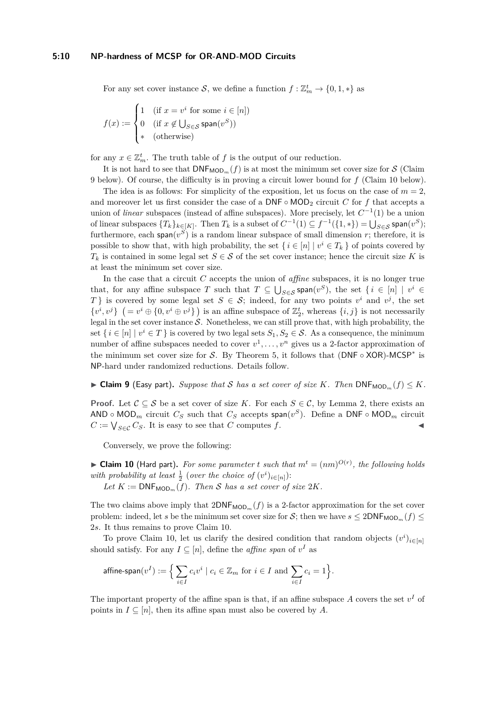For any set cover instance  $S$ , we define a function  $f: \mathbb{Z}_m^t \to \{0, 1, *\}$  as

$$
f(x) := \begin{cases} 1 & \text{ (if } x = v^i \text{ for some } i \in [n] \\ 0 & \text{ (if } x \notin \bigcup_{S \in \mathcal{S}} \text{span}(v^S) \text{)} \\ * & \text{ (otherwise)} \end{cases}
$$

for any  $x \in \mathbb{Z}_m^t$ . The truth table of  $f$  is the output of our reduction.

It is not hard to see that  $\mathsf{DNF}_{\mathsf{MOD}_m}(f)$  is at most the minimum set cover size for S (Claim [9](#page-9-0) below). Of course, the difficulty is in proving a circuit lower bound for *f* (Claim [10](#page-9-1) below).

The idea is as follows: For simplicity of the exposition, let us focus on the case of  $m = 2$ , and moreover let us first consider the case of a  $\text{DNF} \circ \text{MOD}_2$  circuit *C* for *f* that accepts a union of *linear* subspaces (instead of affine subspaces). More precisely, let  $C^{-1}(1)$  be a union of linear subspaces  $\{T_k\}_{k\in[K]}$ . Then  $T_k$  is a subset of  $C^{-1}(1) \subseteq f^{-1}(\{1,*\}) = \bigcup_{S\in\mathcal{S}} \textsf{span}(v^S);$ furthermore, each span $(v^S)$  is a random linear subspace of small dimension *r*; therefore, it is possible to show that, with high probability, the set  $\{i \in [n] \mid v^i \in T_k\}$  of points covered by  $T_k$  is contained in some legal set  $S \in \mathcal{S}$  of the set cover instance; hence the circuit size *K* is at least the minimum set cover size.

In the case that a circuit *C* accepts the union of *affine* subspaces, it is no longer true that, for any affine subspace *T* such that  $T \subseteq \bigcup_{S \in \mathcal{S}} \text{span}(v^S)$ , the set  $\{i \in [n] \mid v^i \in$ *T*} is covered by some legal set  $S \in \mathcal{S}$ ; indeed, for any two points  $v^i$  and  $v^j$ , the set  $\{v^i, v^j\}$   $(= v^i \oplus \{0, v^i \oplus v^j\})$  is an affine subspace of  $\mathbb{Z}_2^t$ , whereas  $\{i, j\}$  is not necessarily legal in the set cover instance  $S$ . Nonetheless, we can still prove that, with high probability, the set  $\{i \in [n] \mid v^i \in T\}$  is covered by two legal sets  $S_1, S_2 \in \mathcal{S}$ . As a consequence, the minimum number of affine subspaces needed to cover  $v^1, \ldots, v^n$  gives us a 2-factor approximation of the minimum set cover size for S. By Theorem [5,](#page-8-0) it follows that  $(DNF \circ XOR)$ -MCSP<sup>\*</sup> is NP-hard under randomized reductions. Details follow.

<span id="page-9-0"></span> $\triangleright$  **Claim 9** (Easy part). *Suppose that* S *has a set cover of size K. Then*  $\text{DNF}_{\text{MOD}_m}(f) \leq K$ *.* 

**Proof.** Let  $C \subseteq S$  be a set cover of size K. For each  $S \in C$ , by Lemma [2,](#page-6-1) there exists an  $\mathsf{AND} \circ \mathsf{MOD}_m$  circuit  $C_S$  such that  $C_S$  accepts  $\mathsf{span}(v^S)$ . Define a  $\mathsf{DNF} \circ \mathsf{MOD}_m$  circuit  $C := \bigvee_{S \in \mathcal{C}} C_S$ . It is easy to see that *C* computes *f*.

Conversely, we prove the following:

<span id="page-9-1"></span> $\blacktriangleright$  **Claim 10** (Hard part). For some parameter *t* such that  $m^t = (nm)^{O(r)}$ , the following holds *with probability at least*  $\frac{1}{2}$  (*over the choice of*  $(v^i)_{i \in [n]}$ ):

Let  $K := \text{DNF}_{\text{MOD}_m}(f)$ . Then S has a set cover of size  $2K$ .

The two claims above imply that  $2\text{DNF}_{\text{MOD}_m}(f)$  is a 2-factor approximation for the set cover problem: indeed, let *s* be the minimum set cover size for *S*; then we have  $s \leq 2DNF_{MOD_m}(f) \leq$ 2*s*. It thus remains to prove Claim [10.](#page-9-1)

To prove Claim [10,](#page-9-1) let us clarify the desired condition that random objects  $(v^i)_{i \in [n]}$ should satisfy. For any  $I \subseteq [n]$ , define the *affine span* of  $v^I$  as

$$
\text{affine-span}(v^I) := \Big\{ \sum_{i \in I} c_i v^i \mid c_i \in \mathbb{Z}_m \text{ for } i \in I \text{ and } \sum_{i \in I} c_i = 1 \Big\}.
$$

The important property of the affine span is that, if an affine subspace  $A$  covers the set  $v<sup>I</sup>$  of points in  $I \subseteq [n]$ , then its affine span must also be covered by A.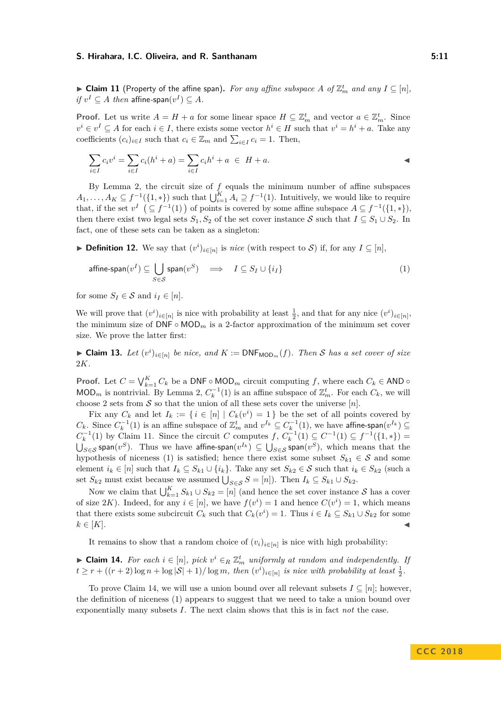<span id="page-10-1"></span>▶ Claim 11 (Property of the affine span). For any affine subspace A of  $\mathbb{Z}_m^t$  and any  $I \subseteq [n]$ ,  $if v^I \subseteq A$  *then* affine-span $(v^I) \subseteq A$ *.* 

**Proof.** Let us write  $A = H + a$  for some linear space  $H \subseteq \mathbb{Z}_m^t$  and vector  $a \in \mathbb{Z}_m^t$ . Since  $v^i \in v^I \subseteq A$  for each  $i \in I$ , there exists some vector  $h^i \in H$  such that  $v^i = h^i + a$ . Take any coefficients  $(c_i)_{i \in I}$  such that  $c_i \in \mathbb{Z}_m$  and  $\sum_{i \in I} c_i = 1$ . Then,

$$
\sum_{i \in I} c_i v^i = \sum_{i \in I} c_i (h^i + a) = \sum_{i \in I} c_i h^i + a \in H + a.
$$

By Lemma [2,](#page-6-1) the circuit size of *f* equals the minimum number of affine subspaces  $A_1, \ldots, A_K \subseteq f^{-1}(\{1, *\})$  such that  $\bigcup_{i=1}^K A_i \supseteq f^{-1}(1)$ . Intuitively, we would like to require that, if the set  $v^I$  ( $\subseteq f^{-1}(1)$ ) of points is covered by some affine subspace  $A \subseteq f^{-1}(\{1,*\})$ , then there exist two legal sets  $S_1, S_2$  of the set cover instance S such that  $I \subseteq S_1 \cup S_2$ . In fact, one of these sets can be taken as a singleton:

<span id="page-10-0"></span>**► Definition 12.** We say that  $(v^i)_{i \in [n]}$  is *nice* (with respect to S) if, for any  $I \subseteq [n]$ ,

<span id="page-10-2"></span>
$$
\text{affine-span}(v^I) \subseteq \bigcup_{S \in \mathcal{S}} \text{span}(v^S) \quad \Longrightarrow \quad I \subseteq S_I \cup \{i_I\} \tag{1}
$$

for some  $S_I \in \mathcal{S}$  and  $i_I \in [n]$ .

We will prove that  $(v^i)_{i \in [n]}$  is nice with probability at least  $\frac{1}{2}$ , and that for any nice  $(v^i)_{i \in [n]}$ , the minimum size of  $\mathsf{DNF} \circ \mathsf{MOD}_m$  is a 2-factor approximation of the minimum set cover size. We prove the latter first:

<span id="page-10-4"></span>► **Claim 13.** *Let*  $(v^i)_{i \in [n]}$  *be nice, and*  $K := \text{DNF}_{\text{MOD}_m}(f)$ *. Then* S *has a set cover of size* 2*K.*

**Proof.** Let  $C = \bigvee_{k=1}^{K} C_k$  be a DNF ◦ MOD<sub>*m*</sub> circuit computing *f*, where each  $C_k \in AND \circ$ MOD<sub>*m*</sub> is nontrivial. By Lemma [2,](#page-6-1)  $C_k^{-1}(1)$  is an affine subspace of  $\mathbb{Z}_m^t$ . For each  $C_k$ , we will choose 2 sets from  $S$  so that the union of all these sets cover the universe  $[n]$ .

Fix any  $C_k$  and let  $I_k := \{ i \in [n] \mid C_k(v^i) = 1 \}$  be the set of all points covered by *C*<sup>*k*</sup>. Since  $C_k^{-1}(1)$  is an affine subspace of  $\mathbb{Z}_m^t$  and  $v^{I_k}$  ⊆  $C_k^{-1}(1)$ , we have affine-span $(v^{I_k})$  ⊆  $C_k^{-1}(1)$  by Claim [11.](#page-10-1) Since the circuit *C* computes *f*,  $C_k^{-1}(1) \subseteq C^{-1}(1) \subseteq f^{-1}(\{1,*\})$  =  $\bigcup_{S\in\mathcal{S}}$  span $(v^S)$ . Thus we have affine-span $(v^{I_k})$  ⊆  $\bigcup_{S\in\mathcal{S}}$  span $(v^S)$ , which means that the hypothesis of niceness [\(1\)](#page-10-2) is satisfied; hence there exist some subset  $S_{k1} \in \mathcal{S}$  and some element  $i_k \in [n]$  such that  $I_k \subseteq S_{k1} \cup \{i_k\}$ . Take any set  $S_{k2} \in S$  such that  $i_k \in S_{k2}$  (such a set  $S_{k2}$  must exist because we assumed  $\bigcup_{S \in \mathcal{S}} S = [n]$ ). Then  $I_k \subseteq S_{k1} \cup S_{k2}$ .

Now we claim that  $\bigcup_{k=1}^{K} S_{k1} \cup S_{k2} = [n]$  (and hence the set cover instance S has a cover of size 2K). Indeed, for any  $i \in [n]$ , we have  $f(v^i) = 1$  and hence  $C(v^i) = 1$ , which means that there exists some subcircuit  $C_k$  such that  $C_k(v^i) = 1$ . Thus  $i \in I_k \subseteq S_{k1} \cup S_{k2}$  for some  $k \in [K]$ .

It remains to show that a random choice of  $(v_i)_{i \in [n]}$  is nice with high probability:

<span id="page-10-3"></span>► **Claim 14.** *For each*  $i \in [n]$ *, pick*  $v^i \in R \mathbb{Z}_m^t$  *uniformly at random and independently. If*  $t \geq r + ((r + 2) \log n + \log |\mathcal{S}| + 1) / \log m$ , then  $(v^{i})_{i \in [n]}$  is nice with probability at least  $\frac{1}{2}$ .

To prove Claim [14,](#page-10-3) we will use a union bound over all relevant subsets  $I \subseteq [n]$ ; however, the definition of niceness [\(1\)](#page-10-2) appears to suggest that we need to take a union bound over exponentially many subsets *I*. The next claim shows that this is in fact *not* the case.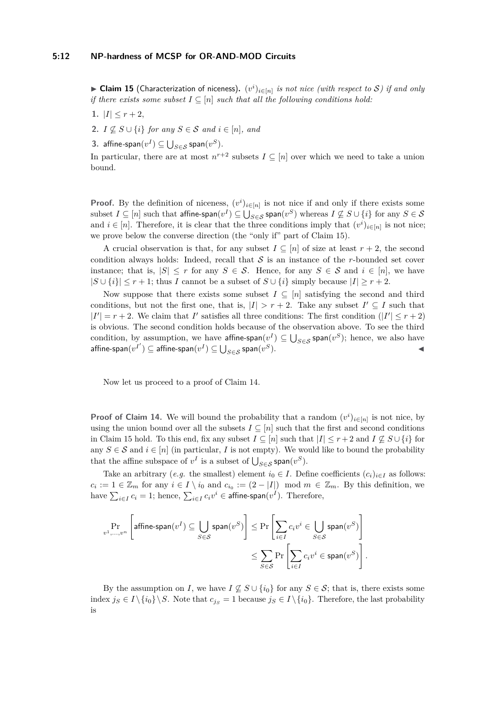<span id="page-11-0"></span>▶ Claim 15 (Characterization of niceness).  $(v^i)_{i \in [n]}$  is not nice (with respect to S) if and only *if there exists some subset*  $I \subseteq [n]$  *such that all the following conditions hold:* 

- 1.  $|I| \leq r+2$ ,
- **2.** *I*  $\nsubseteq$  *S* ∪ {*i*} *for any S* ∈ *S and i* ∈ [*n*]*, and*
- **3.** affine-span $(v^I) \subseteq \bigcup_{S \in \mathcal{S}} \mathsf{span}(v^S)$ .

In particular, there are at most  $n^{r+2}$  subsets  $I \subseteq [n]$  over which we need to take a union bound.

**Proof.** By the definition of niceness,  $(v^i)_{i \in [n]}$  is not nice if and only if there exists some subset  $I\subseteq [n]$  such that  $\mathsf{affine-span}(v^I)\subseteq \bigcup_{S\in \mathcal{S}}\mathsf{span}(v^S)$  whereas  $I\not\subseteq S\cup \{i\}$  for any  $S\in \mathcal{S}$ and  $i \in [n]$ . Therefore, it is clear that the three conditions imply that  $(v^i)_{i \in [n]}$  is not nice; we prove below the converse direction (the "only if" part of Claim [15\)](#page-11-0).

A crucial observation is that, for any subset  $I \subseteq [n]$  of size at least  $r + 2$ , the second condition always holds: Indeed, recall that  $S$  is an instance of the *r*-bounded set cover instance; that is,  $|S| \leq r$  for any  $S \in \mathcal{S}$ . Hence, for any  $S \in \mathcal{S}$  and  $i \in [n]$ , we have  $|S \cup \{i\}| \leq r+1$ ; thus *I* cannot be a subset of  $S \cup \{i\}$  simply because  $|I| \geq r+2$ .

Now suppose that there exists some subset  $I \subseteq [n]$  satisfying the second and third conditions, but not the first one, that is,  $|I| > r + 2$ . Take any subset  $I' \subseteq I$  such that  $|I'| = r + 2$ . We claim that *I*' satisfies all three conditions: The first condition ( $|I'| \leq r + 2$ ) is obvious. The second condition holds because of the observation above. To see the third condition, by assumption, we have  $\textsf{affine-span}(v^I) \subseteq \bigcup_{S \in \mathcal{S}} \textsf{span}(v^S)$ ; hence, we also have  $\mathsf{affine}\text{-}\mathsf{span}(v^{I'}) \subseteq \mathsf{affine}\text{-}\mathsf{span}(v^I) \subseteq \bigcup_{S \in \mathcal{S}} \mathsf{span}(v^I)$  $S$ ).

Now let us proceed to a proof of Claim [14.](#page-10-3)

**Proof of Claim [14.](#page-10-3)** We will bound the probability that a random  $(v^i)_{i \in [n]}$  is not nice, by using the union bound over all the subsets  $I \subseteq [n]$  such that the first and second conditions in Claim [15](#page-11-0) hold. To this end, fix any subset  $I \subseteq [n]$  such that  $|I| \leq r+2$  and  $I \nsubseteq S \cup \{i\}$  for any  $S \in \mathcal{S}$  and  $i \in [n]$  (in particular, *I* is not empty). We would like to bound the probability that the affine subspace of  $v^I$  is a subset of  $\bigcup_{S \in \mathcal{S}} \textsf{span}(v^S)$ .

Take an arbitrary (*e.g.* the smallest) element  $i_0 \in I$ . Define coefficients  $(c_i)_{i \in I}$  as follows:  $c_i := 1 \in \mathbb{Z}_m$  for any  $i \in I \setminus i_0$  and  $c_{i_0} := (2 - |I|) \mod m \in \mathbb{Z}_m$ . By this definition, we have  $\sum_{i \in I} c_i = 1$ ; hence,  $\sum_{i \in I} c_i v^i \in \mathsf{affine-span}(v^I).$  Therefore,

$$
\Pr_{v^1,\ldots,v^n} \left[ \text{affine-span}(v^I) \subseteq \bigcup_{S \in \mathcal{S}} \text{span}(v^S) \right] \le \Pr \left[ \sum_{i \in I} c_i v^i \in \bigcup_{S \in \mathcal{S}} \text{span}(v^S) \right]
$$

$$
\le \sum_{S \in \mathcal{S}} \Pr \left[ \sum_{i \in I} c_i v^i \in \text{span}(v^S) \right].
$$

By the assumption on *I*, we have  $I \not\subseteq S \cup \{i_0\}$  for any  $S \in S$ ; that is, there exists some index  $j_S \in I \setminus \{i_0\} \setminus S$ . Note that  $c_{j_S} = 1$  because  $j_S \in I \setminus \{i_0\}$ . Therefore, the last probability is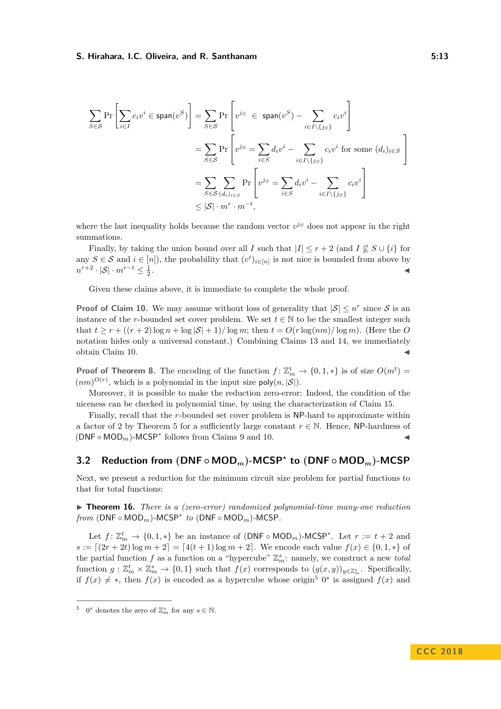$$
\sum_{S \in \mathcal{S}} \Pr\left[\sum_{i \in I} c_i v^i \in \text{span}(v^S)\right] = \sum_{S \in \mathcal{S}} \Pr\left[v^{js} \in \text{span}(v^S) - \sum_{i \in I \setminus \{js\}} c_i v^i\right]
$$

$$
= \sum_{S \in \mathcal{S}} \Pr\left[v^{js} = \sum_{i \in S} d_i v^i - \sum_{i \in I \setminus \{js\}} c_i v^i \text{ for some } (d_i)_{i \in S}\right]
$$

$$
= \sum_{S \in \mathcal{S}} \sum_{(d_i)_{i \in S}} \Pr\left[v^{js} = \sum_{i \in S} d_i v^i - \sum_{i \in I \setminus \{js\}} c_i v^i\right]
$$

$$
\leq |S| \cdot m^r \cdot m^{-t},
$$

where the last inequality holds because the random vector  $v^{js}$  does not appear in the right summations.

Finally, by taking the union bound over all *I* such that  $|I| \leq r + 2$  (and  $I \nsubseteq S \cup \{i\}$  for any  $S \in \mathcal{S}$  and  $i \in [n]$ ), the probability that  $(v^i)_{i \in [n]}$  is not nice is bounded from above by  $n^{r+2} \cdot |\mathcal{S}| \cdot m^{r-t} \leq \frac{1}{2}$ . January 1980, January 1980, January 1980, January 1980, January 1980, January 1980, January 1980, January 19<br>Jeografia

Given these claims above, it is immediate to complete the whole proof.

**Proof of Claim [10.](#page-9-1)** We may assume without loss of generality that  $|S| \leq n^r$  since S is an instance of the *r*-bounded set cover problem. We set  $t \in \mathbb{N}$  to be the smallest integer such that  $t > r + ((r + 2) \log n + \log |\mathcal{S}| + 1) / \log m$ ; then  $t = O(r \log(nm) / \log m)$ . (Here the *O* notation hides only a universal constant.) Combining Claims [13](#page-10-4) and [14,](#page-10-3) we immediately obtain Claim [10.](#page-9-1)

**Proof of Theorem [8.](#page-8-2)** The encoding of the function  $f: \mathbb{Z}_m^t \to \{0,1,\ast\}$  is of size  $O(m^t)$  =  $(nm)^{O(r)}$ , which is a polynomial in the input size  $poly(n, |\mathcal{S}|)$ .

Moreover, it is possible to make the reduction zero-error: Indeed, the condition of the niceness can be checked in polynomial time, by using the characterization of Claim [15.](#page-11-0)

Finally, recall that the *r*-bounded set cover problem is NP-hard to approximate within a factor of 2 by Theorem [5](#page-8-0) for a sufficiently large constant  $r \in \mathbb{N}$ . Hence, NP-hardness of  $(DNF \circ MOD_m)$ -MCSP<sup>\*</sup> follows from Claims [9](#page-9-0) and [10.](#page-9-1)

## <span id="page-12-0"></span>**3.2 Reduction from (DNF ◦ MOD***m***)-MCSP<sup>∗</sup> to (DNF ◦ MOD***m***)-MCSP**

Next, we present a reduction for the minimum circuit size problem for partial functions to that for total functions:

<span id="page-12-2"></span>▶ **Theorem 16.** *There is a (zero-error) randomized polynomial-time many-one reduction*  $from (DNF \circ MOD_m)$ -MCSP<sup>\*</sup>  $to (DNF \circ MOD_m)$ -MCSP.

Let  $f: \mathbb{Z}_m^t \to \{0,1,\ast\}$  be an instance of  $(DNF \circ MOD_m)$ -MCSP<sup>\*</sup>. Let  $r := t + 2$  and  $s := [(2r + 2t) \log m + 2] = [4(t + 1) \log m + 2]$ . We encode each value  $f(x) \in \{0, 1, *\}$  of the partial function *f* as a function on a "hypercube"  $\mathbb{Z}_m^s$ : namely, we construct a new *total* function  $g: \mathbb{Z}_m^t \times \mathbb{Z}_m^s \to \{0,1\}$  such that  $f(x)$  corresponds to  $(g(x,y))_{y \in \mathbb{Z}_m^s}$ . Specifically, if  $f(x) \neq *$ , then  $f(x)$  is encoded as a hypercube whose origin<sup>[5](#page-12-1)</sup> 0<sup>s</sup> is assigned  $f(x)$  and

<span id="page-12-1"></span><sup>&</sup>lt;sup>5</sup> 0<sup>*s*</sup> denotes the zero of  $\mathbb{Z}_m^s$  for any  $s \in \mathbb{N}$ .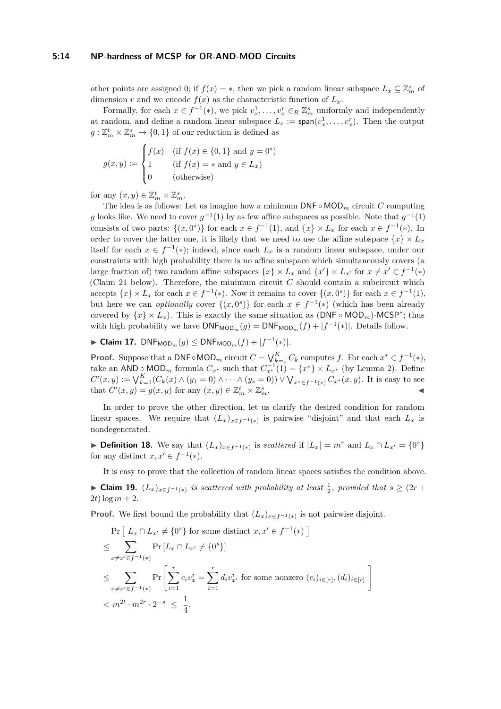#### **5:14 NP-hardness of MCSP for OR-AND-MOD Circuits**

other points are assigned 0; if  $f(x) = *$ , then we pick a random linear subspace  $L_x \subseteq \mathbb{Z}_m^s$  of dimension *r* and we encode  $f(x)$  as the characteristic function of  $L<sub>x</sub>$ .

Formally, for each  $x \in f^{-1}(*)$ , we pick  $v_x^1, \ldots, v_x^n \in_R \mathbb{Z}_m^s$  uniformly and independently at random, and define a random linear subspace  $L_x := \text{span}(v_x^1, \ldots, v_x^r)$ . Then the output  $g: \mathbb{Z}_m^t \times \mathbb{Z}_m^s \to \{0,1\}$  of our reduction is defined as

$$
g(x,y) := \begin{cases} f(x) & \text{if } f(x) \in \{0,1\} \text{ and } y = 0^s \\ 1 & \text{if } f(x) = * \text{ and } y \in L_x) \\ 0 & \text{(otherwise)} \end{cases}
$$

for any  $(x, y) \in \mathbb{Z}_m^t \times \mathbb{Z}_m^s$ .

The idea is as follows: Let us imagine how a minimum DNF ◦ MOD*<sup>m</sup>* circuit *C* computing *g* looks like. We need to cover  $g^{-1}(1)$  by as few affine subspaces as possible. Note that  $g^{-1}(1)$ consists of two parts:  $\{(x, 0^s)\}\)$  for each  $x \in f^{-1}(1)$ , and  $\{x\} \times L_x$  for each  $x \in f^{-1}(*)$ . In order to cover the latter one, it is likely that we need to use the affine subspace  $\{x\} \times L_x$ itself for each  $x \in f^{-1}(*)$ ; indeed, since each  $L_x$  is a random linear subspace, under our constraints with high probability there is no affine subspace which simultaneously covers (a large fraction of) two random affine subspaces  $\{x\} \times L_x$  and  $\{x'\} \times L_{x'}$  for  $x \neq x' \in f^{-1}(*)$ (Claim [21](#page-14-0) below). Therefore, the minimum circuit *C* should contain a subcircuit which accepts  $\{x\} \times L_x$  for each  $x \in f^{-1}(*)$ . Now it remains to cover  $\{(x, 0^s)\}\$  for each  $x \in f^{-1}(1)$ , but here we can *optionally* cover  $\{(x,0^s)\}\)$  for each  $x \in f^{-1}(*)$  (which has been already covered by  $\{x\} \times L_x$ ). This is exactly the same situation as  $(DNF \circ MOD_m)$ -MCSP<sup>\*</sup>; thus with high probability we have  $\text{DNF}_{\text{MOD}_m}(g) = \text{DNF}_{\text{MOD}_m}(f) + |f^{-1}(*)|$ . Details follow.

<span id="page-13-1"></span>► Claim 17.  $DNF_{MOD_m}(g)$   $\leq$   $DNF_{MOD_m}(f) + |f^{-1}(*)|$ *.* 

**Proof.** Suppose that a DNF◦MOD<sub>*m*</sub> circuit  $C = \bigvee_{k=1}^{K} C_k$  computes  $f$ . For each  $x^* \in f^{-1}(*)$ , take an AND <u>∘</u> MOD<sub>*m*</sub> formula  $C_{x^*}$  such that  $C_{x^*}^{-1}(1) = \{x^*\} \times L_{x^*}$  (by Lemma [2\)](#page-6-1). Define  $C'(x,y) := \bigvee_{k=1}^{K} (C_k(x) \wedge (y_1 = 0) \wedge \cdots \wedge (y_s = 0)) \vee \bigvee_{x^* \in f^{-1}(*)} C_{x^*}(x,y)$ . It is easy to see that  $C'(x, y) = g(x, y)$  for any  $(x, y) \in \mathbb{Z}_m^t \times \mathbb{Z}_m^s$  $\sum_{m}$ .

In order to prove the other direction, let us clarify the desired condition for random linear spaces. We require that  $(L_x)_{x \in f^{-1}(*)}$  is pairwise "disjoint" and that each  $L_x$  is nondegenerated.

<span id="page-13-0"></span>▶ **Definition 18.** We say that  $(L_x)_{x \in f^{-1}(*)}$  is *scattered* if  $|L_x| = m^r$  and  $L_x \cap L_{x'} = \{0^s\}$ for any distinct  $x, x' \in f^{-1}(*)$ .

<span id="page-13-2"></span>It is easy to prove that the collection of random linear spaces satisfies the condition above. ► Claim 19.  $(L_x)_{x \in f^{-1}(*)}$  is scattered with probability at least  $\frac{1}{2}$ , provided that  $s \geq (2r +$  $2t) \log m + 2.$ 

**Proof.** We first bound the probability that  $(L_x)_{x \in f^{-1}(*)}$  is not pairwise disjoint.

$$
\Pr\left[L_x \cap L_{x'} \neq \{0^s\} \text{ for some distinct } x, x' \in f^{-1}(*)\right]
$$
\n
$$
\leq \sum_{x \neq x' \in f^{-1}(*)} \Pr[L_x \cap L_{x'} \neq \{0^s\}]
$$
\n
$$
\leq \sum_{x \neq x' \in f^{-1}(*)} \Pr\left[\sum_{i=1}^r c_i v_x^i = \sum_{i=1}^r d_i v_{x'}^i \text{ for some nonzero } (c_i)_{i \in [r]}, (d_i)_{i \in [r]}\right]
$$
\n
$$
< m^{2t} \cdot m^{2r} \cdot 2^{-s} \leq \frac{1}{4},
$$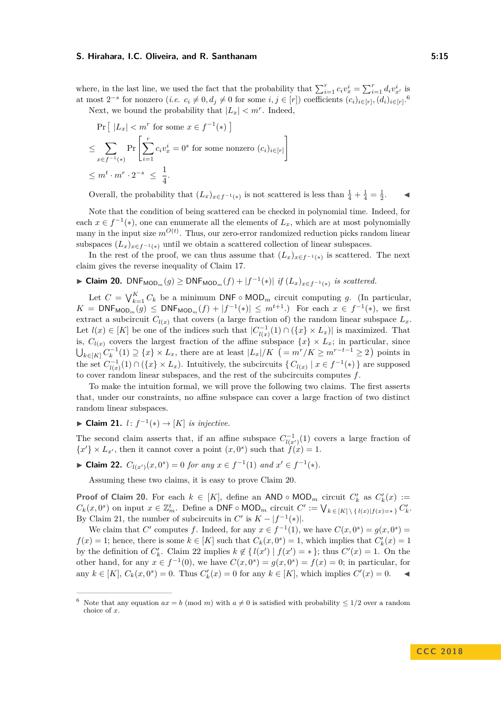where, in the last line, we used the fact that the probability that  $\sum_{i=1}^{r} c_i v_x^i = \sum_{i=1}^{r} d_i v_{x'}^i$  is at most  $2^{-s}$  for nonzero  $(i.e. c_i \neq 0, d_j \neq 0$  for some  $i, j \in [r]$ ) coefficients  $(c_i)_{i \in [r]}, (d_i)_{i \in [r]}$ .

Next, we bound the probability that  $|L_x| < m^r$ . Indeed,

$$
\Pr\left[ |L_x| < m^r \text{ for some } x \in f^{-1}(\ast) \right]
$$
\n
$$
\leq \sum_{x \in f^{-1}(\ast)} \Pr\left[ \sum_{i=1}^r c_i v_x^i = 0^s \text{ for some nonzero } (c_i)_{i \in [r]} \right]
$$
\n
$$
\leq m^t \cdot m^r \cdot 2^{-s} \leq \frac{1}{4}.
$$

Overall, the probability that  $(L_x)_{x \in f^{-1}(*)}$  is not scattered is less than  $\frac{1}{4} + \frac{1}{4} = \frac{1}{2}$ .

Note that the condition of being scattered can be checked in polynomial time. Indeed, for each  $x \in f^{-1}(*)$ , one can enumerate all the elements of  $L_x$ , which are at most polynomially many in the input size  $m^{O(t)}$ . Thus, our zero-error randomized reduction picks random linear subspaces  $(L_x)_{x \in f^{-1}(*)}$  until we obtain a scattered collection of linear subspaces.

In the rest of the proof, we can thus assume that  $(L_x)_{x \in f^{-1}(*)}$  is scattered. The next claim gives the reverse inequality of Claim [17.](#page-13-1)

<span id="page-14-2"></span>► Claim 20.  $\text{DNF}_{\text{MOD}_m}(g) \geq \text{DNF}_{\text{MOD}_m}(f) + |f^{-1}(*)|$  if  $(L_x)_{x \in f^{-1}(*)}$  is scattered.

Let  $C = \bigvee_{k=1}^{K} C_k$  be a minimum DNF ◦ MOD<sub>*m*</sub> circuit computing *g*. (In particular, *K* = DNF<sub>MOD<sub>*m*</sub></sub>(*g*) ≤ DNF<sub>MOD<sub>*m*</sub></sub>(*f*) + |*f*<sup>-1</sup>(\*)| ≤ *m*<sup>*t*+1</sup>.) For each *x* ∈ *f*<sup>-1</sup>(\*), we first extract a subcircuit  $C_{l(x)}$  that covers (a large fraction of) the random linear subspace  $L_x$ . Let  $l(x) \in [K]$  be one of the indices such that  $|C_{l(x)}^{-1}(1) \cap (\{x\} \times L_x)|$  is maximized. That is,  $C_{l(x)}$  covers the largest fraction of the affine subspace  $\{x\} \times L_x$ ; in particular, since  $\bigcup_{k \in [K]} C_k^{-1}(1) \supseteq \{x\} \times L_x$ , there are at least  $|L_x|/K$  (=  $m^r/K \ge m^{r-t-1} \ge 2$ ) points in the set  $C_{l(x)}^{-1}(1) \cap (\{x\} \times L_x)$ . Intuitively, the subcircuits  $\{C_{l(x)} | x \in f^{-1}(\ast)\}\$  are supposed to cover random linear subspaces, and the rest of the subcircuits computes *f*.

To make the intuition formal, we will prove the following two claims. The first asserts that, under our constraints, no affine subspace can cover a large fraction of two distinct random linear subspaces.

<span id="page-14-0"></span>► Claim 21. *l*:  $f^{-1}(*)$  → [*K*] *is injective.* 

The second claim asserts that, if an affine subspace  $C_{l(x')}^{-1}(1)$  covers a large fraction of  ${x' } \times L_{x'}$ , then it cannot cover a point  $(x, 0^s)$  such that  $f(x) = 1$ .

<span id="page-14-3"></span>► **Claim 22.**  $C_{l(x')}(x, 0^s) = 0$  *for any*  $x \in f^{-1}(1)$  *and*  $x' \in f^{-1}(*)$ *.* 

Assuming these two claims, it is easy to prove Claim [20.](#page-14-2)

**Proof of Claim [20.](#page-14-2)** For each  $k \in [K]$ , define an AND ◦ MOD<sub>*m*</sub> circuit  $C'_{k}$  as  $C'_{k}(x) :=$  $C_k(x, 0^s)$  on input  $x \in \mathbb{Z}_m^t$ . Define a DNF ◦ MOD<sub>*m*</sub> circuit  $C' := \bigvee_{k \in [K] \setminus \{l(x)|f(x) = * \}} C'_k$ . By Claim [21,](#page-14-0) the number of subcircuits in  $C'$  is  $K - |f^{-1}(*)|$ .

We claim that *C*<sup> $\prime$ </sup> computes *f*. Indeed, for any  $x \in f^{-1}(1)$ , we have  $C(x, 0^s) = g(x, 0^s)$  $f(x) = 1$ ; hence, there is some  $k \in [K]$  such that  $C_k(x, 0^s) = 1$ , which implies that  $C'_k(x) = 1$ by the definition of  $C'_{k}$ . Claim [22](#page-14-3) implies  $k \notin \{l(x') \mid f(x') = * \}$ ; thus  $C'(x) = 1$ . On the other hand, for any  $x \in f^{-1}(0)$ , we have  $C(x, 0^s) = g(x, 0^s) = f(x) = 0$ ; in particular, for any  $k \in [K]$ ,  $C_k(x, 0^s) = 0$ . Thus  $C'_k(x) = 0$  for any  $k \in [K]$ , which implies  $C'(x) = 0$ .

<span id="page-14-1"></span><sup>&</sup>lt;sup>6</sup> Note that any equation  $ax = b \pmod{m}$  with  $a \neq 0$  is satisfied with probability  $\leq 1/2$  over a random choice of *x*.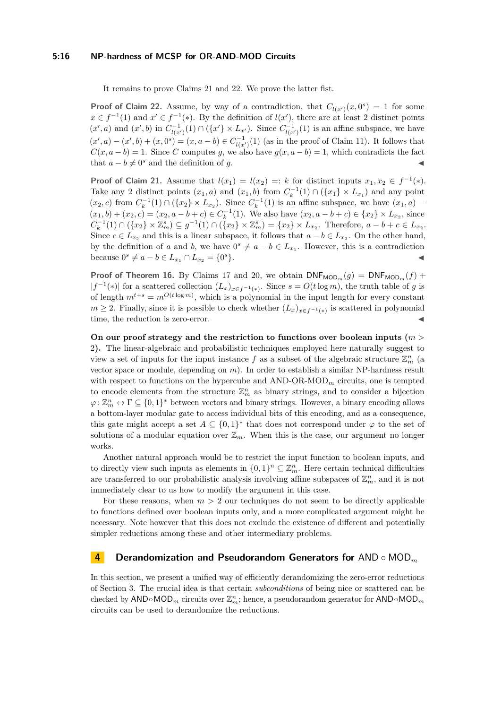#### **5:16 NP-hardness of MCSP for OR-AND-MOD Circuits**

It remains to prove Claims [21](#page-14-0) and [22.](#page-14-3) We prove the latter fist.

**Proof of Claim [22.](#page-14-3)** Assume, by way of a contradiction, that  $C_{l(x')}(x, 0^s) = 1$  for some  $x \in f^{-1}(1)$  and  $x' \in f^{-1}(*)$ . By the definition of  $l(x')$ , there are at least 2 distinct points  $(x', a)$  and  $(x', b)$  in  $C^{-1}_{l(x')}(1) \cap (\{x'\} \times L_{x'})$ . Since  $C^{-1}_{l(x')}(1)$  is an affine subspace, we have  $(x', a) - (x', b) + (x, 0<sup>s</sup>) = (x, a - b) \in C_{l(x')}^{-1}(1)$  (as in the proof of Claim [11\)](#page-10-1). It follows that  $C(x, a - b) = 1$ . Since *C* computes *g*, we also have  $g(x, a - b) = 1$ , which contradicts the fact that  $a - b \neq 0^s$  and the definition of *g*.

**Proof of Claim [21.](#page-14-0)** Assume that  $l(x_1) = l(x_2) =: k$  for distinct inputs  $x_1, x_2 \in f^{-1}(*)$ . Take any 2 distinct points  $(x_1, a)$  and  $(x_1, b)$  from  $C_k^{-1}(1) \cap (\{x_1\} \times L_{x_1})$  and any point  $(x_2, c)$  from  $C_k^{-1}(1) \cap (\{x_2\} \times L_{x_2})$ . Since  $C_k^{-1}(1)$  is an affine subspace, we have  $(x_1, a)$  –  $(x_1, b) + (x_2, c) = (x_2, a - b + c) \in C_k^{-1}(1)$ . We also have  $(x_2, a - b + c) \in \{x_2\} \times L_{x_2}$ , since  $C_k^{-1}(1) \cap (\{x_2\} \times \mathbb{Z}_m^s) \subseteq g^{-1}(1) \cap (\{x_2\} \times \mathbb{Z}_m^s) = \{x_2\} \times L_{x_2}$ . Therefore,  $a - b + c \in L_{x_2}$ . Since  $c \in L_{x_2}$  and this is a linear subspace, it follows that  $a - b \in L_{x_2}$ . On the other hand, by the definition of *a* and *b*, we have  $0^s \neq a - b \in L_{x_1}$ . However, this is a contradiction  $\text{because } 0^s \neq a - b \in L_{x_1} \cap L_{x_2} = \{0\}$  $s$ }.

**Proof of Theorem [16.](#page-12-2)** By Claims [17](#page-13-1) and [20,](#page-14-2) we obtain  $DNF_{MOD_m}(g) = DNF_{MOD_m}(f) +$  $|f^{-1}(*)|$  for a scattered collection  $(L_x)_{x \in f^{-1}(*)}$ . Since  $s = O(t \log m)$ , the truth table of *g* is of length  $m^{t+s} = m^{O(t \log m)}$ , which is a polynomial in the input length for every constant *m* ≥ 2. Finally, since it is possible to check whether  $(L_x)_{x \in f^{-1}(*)}$  is scattered in polynomial time, the reduction is zero-error.

**On our proof strategy and the restriction to functions over boolean inputs (***m >* 2**).** The linear-algebraic and probabilistic techniques employed here naturally suggest to view a set of inputs for the input instance  $f$  as a subset of the algebraic structure  $\mathbb{Z}_m^n$  (a vector space or module, depending on *m*). In order to establish a similar NP-hardness result with respect to functions on the hypercube and AND-OR-MOD*<sup>m</sup>* circuits, one is tempted to encode elements from the structure  $\mathbb{Z}_m^n$  as binary strings, and to consider a bijection  $\varphi\colon \mathbb{Z}_m^n \leftrightarrow \Gamma \subseteq \{0,1\}^*$  between vectors and binary strings. However, a binary encoding allows a bottom-layer modular gate to access individual bits of this encoding, and as a consequence, this gate might accept a set  $A \subseteq \{0,1\}^*$  that does not correspond under  $\varphi$  to the set of solutions of a modular equation over  $\mathbb{Z}_m$ . When this is the case, our argument no longer works.

Another natural approach would be to restrict the input function to boolean inputs, and to directly view such inputs as elements in  $\{0,1\}^n \subseteq \mathbb{Z}_m^n$ . Here certain technical difficulties are transferred to our probabilistic analysis involving affine subspaces of  $\mathbb{Z}_m^n$ , and it is not immediately clear to us how to modify the argument in this case.

For these reasons, when  $m > 2$  our techniques do not seem to be directly applicable to functions defined over boolean inputs only, and a more complicated argument might be necessary. Note however that this does not exclude the existence of different and potentially simpler reductions among these and other intermediary problems.

## <span id="page-15-0"></span>**4 Derandomization and Pseudorandom Generators for** AND ◦ MOD*<sup>m</sup>*

In this section, we present a unified way of efficiently derandomizing the zero-error reductions of Section [3.](#page-8-3) The crucial idea is that certain *subconditions* of being nice or scattered can be checked by  $\mathsf{AND} \circ \mathsf{MOD}_m$  circuits over  $\mathbb{Z}_m^n$ ; hence, a pseudorandom generator for  $\mathsf{AND} \circ \mathsf{MOD}_m$ circuits can be used to derandomize the reductions.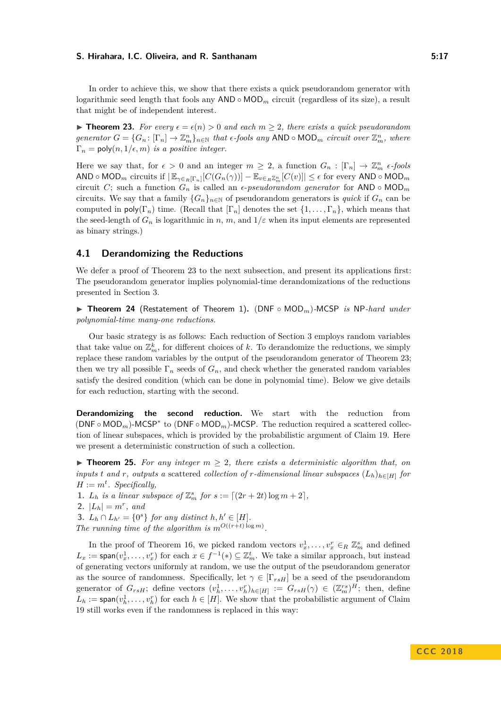<span id="page-16-1"></span>**► Theorem 23.** For every  $\epsilon = \epsilon(n) > 0$  and each  $m \geq 2$ , there exists a quick pseudorandom  $generator\ G = \{G_n: [\Gamma_n] \to \mathbb{Z}_m^n\}_{n \in \mathbb{N}}$  that  $\epsilon$ -fools any  $AND \circ MOD_m$  *circuit over*  $\mathbb{Z}_m^n$ , where  $\Gamma_n = \text{poly}(n, 1/\epsilon, m)$  *is a positive integer.* 

Here we say that, for  $\epsilon > 0$  and an integer  $m \geq 2$ , a function  $G_n : [\Gamma_n] \to \mathbb{Z}_m^n$   $\epsilon$ *-fools*  $\mathsf{AND} \circ \mathsf{MOD}_m$  circuits if  $|\mathbb{E}_{\gamma \in R[\Gamma_n]}[C(G_n(\gamma))] - \mathbb{E}_{v \in R\mathbb{Z}_m^n}[C(v)]| \leq \epsilon$  for every  $\mathsf{AND} \circ \mathsf{MOD}_m$ circuit *C*; such a function  $G_n$  is called an  $\epsilon$ -pseudorandom generator for AND  $\circ$  MOD<sub>*m*</sub> circuits. We say that a family  ${G_n}_{n \in \mathbb{N}}$  of pseudorandom generators is *quick* if  $G_n$  can be computed in  $\text{poly}(\Gamma_n)$  time. (Recall that  $[\Gamma_n]$  denotes the set  $\{1,\ldots,\Gamma_n\}$ , which means that the seed-length of  $G_n$  is logarithmic in *n*, *m*, and  $1/\varepsilon$  when its input elements are represented as binary strings.)

## <span id="page-16-0"></span>**4.1 Derandomizing the Reductions**

We defer a proof of Theorem [23](#page-16-1) to the next subsection, and present its applications first: The pseudorandom generator implies polynomial-time derandomizations of the reductions presented in Section [3.](#page-8-3)

<span id="page-16-3"></span>I **Theorem 24** (Restatement of Theorem [1\)](#page-2-1)**.** (DNF ◦ MOD*m*)*-*MCSP *is* NP*-hard under polynomial-time many-one reductions.*

Our basic strategy is as follows: Each reduction of Section [3](#page-8-3) employs random variables that take value on  $\mathbb{Z}_m^k$ , for different choices of  $k$ . To derandomize the reductions, we simply replace these random variables by the output of the pseudorandom generator of Theorem [23;](#page-16-1) then we try all possible  $\Gamma_n$  seeds of  $G_n$ , and check whether the generated random variables satisfy the desired condition (which can be done in polynomial time). Below we give details for each reduction, starting with the second.

**Derandomizing the second reduction.** We start with the reduction from ( $\mathsf{DNF} \circ \mathsf{MOD}_m$ )-MCSP<sup>\*</sup> to ( $\mathsf{DNF} \circ \mathsf{MOD}_m$ )-MCSP. The reduction required a scattered collection of linear subspaces, which is provided by the probabilistic argument of Claim [19.](#page-13-2) Here we present a deterministic construction of such a collection.

<span id="page-16-2"></span>**Figurer 125.** For any integer  $m > 2$ , there exists a deterministic algorithm that, on *inputs t and r, outputs* a scattered *collection of r-dimensional linear subspaces*  $(L_h)_{h \in [H]}$  *for*  $H := m^t$ *. Specifically,* 

- **1.** *L<sub><i>h*</sub> *is a linear subspace of*  $\mathbb{Z}_m^s$  *for*  $s := [(2r + 2t) \log m + 2]$ *,*
- **2.**  $|L_h| = m^r$ , and
- **3.**  $L_h \cap L_{h'} = \{0^s\}$  *for any distinct*  $h, h' \in [H]$ *. The running time of the algorithm is*  $m^{O((r+t) \log m)}$ .

In the proof of Theorem [16,](#page-12-2) we picked random vectors  $v_x^1, \ldots, v_x^r \in_R \mathbb{Z}_m^s$  and defined  $L_x := \text{span}(v_x^1, \dots, v_x^r)$  for each  $x \in f^{-1}(*) \subseteq \mathbb{Z}_m^t$ . We take a similar approach, but instead of generating vectors uniformly at random, we use the output of the pseudorandom generator as the source of randomness. Specifically, let  $\gamma \in [\Gamma_{rsH}]$  be a seed of the pseudorandom generator of  $G_{rsH}$ ; define vectors  $(v_h^1, \ldots, v_h^n)_{h \in [H]} := G_{rsH}(\gamma) \in (\mathbb{Z}_m^{rs})^H$ ; then, define  $L_h := \text{span}(v_h^1, \ldots, v_h^r)$  for each  $h \in [H]$ . We show that the probabilistic argument of Claim [19](#page-13-2) still works even if the randomness is replaced in this way: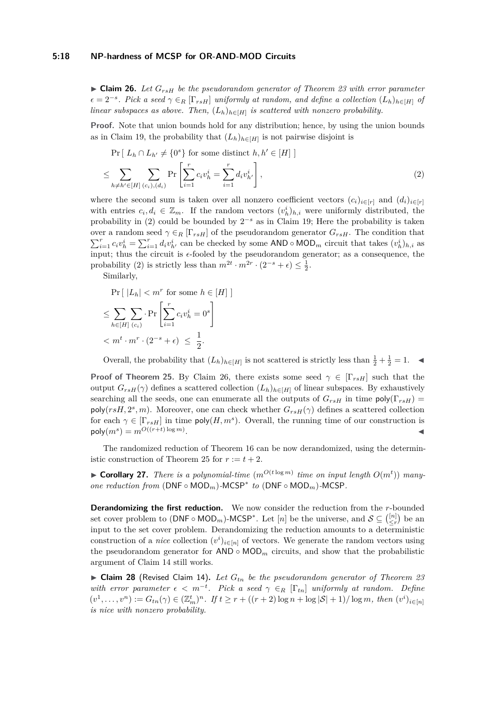#### **5:18 NP-hardness of MCSP for OR-AND-MOD Circuits**

<span id="page-17-1"></span> $\triangleright$  **Claim 26.** Let  $G_{rsH}$  be the pseudorandom generator of Theorem [23](#page-16-1) with error parameter  $\epsilon = 2^{-s}$ . Pick a seed  $\gamma \in_R [\Gamma_{rsH}]$  *uniformly at random, and define a collection*  $(L_h)_{h \in [H]}$  *of linear subspaces as above. Then,*  $(L_h)_{h \in [H]}$  *is scattered with nonzero probability.* 

Proof. Note that union bounds hold for any distribution; hence, by using the union bounds as in Claim [19,](#page-13-2) the probability that  $(L_h)_{h \in [H]}$  is not pairwise disjoint is

<span id="page-17-0"></span>
$$
\Pr\left[\ L_h \cap L_{h'} \neq \{0^s\} \text{ for some distinct } h, h' \in [H] \right]
$$
\n
$$
\leq \sum_{h \neq h' \in [H]} \sum_{(c_i), (d_i)} \Pr\left[\sum_{i=1}^r c_i v_h^i = \sum_{i=1}^r d_i v_{h'}^i\right],\tag{2}
$$

where the second sum is taken over all nonzero coefficient vectors  $(c_i)_{i \in [r]}$  and  $(d_i)_{i \in [r]}$ with entries  $c_i, d_i \in \mathbb{Z}_m$ . If the random vectors  $(v_h^i)_{h,i}$  were uniformly distributed, the probability in [\(2\)](#page-17-0) could be bounded by  $2^{-s}$  as in Claim [19;](#page-13-2) Here the probability is taken over a random seed  $\gamma \in_R [\Gamma_{rsH}]$  of the pseudorandom generator  $G_{rsH}$ . The condition that  $\sum_{i=1}^r c_i v_h^i = \sum_{i=1}^r d_i v_{h'}^i$  can be checked by some AND  $\circ$  MOD<sub>m</sub> circuit that takes  $(v_h^i)_{h,i}$  as input; thus the circuit is  $\epsilon$ -fooled by the pseudorandom generator; as a consequence, the probability [\(2\)](#page-17-0) is strictly less than  $m^{2t} \cdot m^{2r} \cdot (2^{-s} + \epsilon) \leq \frac{1}{2}$ .

Similarly,

$$
\Pr\left[ |L_h| < m^r \text{ for some } h \in [H] \right]
$$
\n
$$
\leq \sum_{h \in [H]} \sum_{(c_i)} \Pr\left[ \sum_{i=1}^r c_i v_h^i = 0^s \right]
$$
\n
$$
< m^t \cdot m^r \cdot (2^{-s} + \epsilon) \leq \frac{1}{2}.
$$

Overall, the probability that  $(L_h)_{h \in [H]}$  is not scattered is strictly less than  $\frac{1}{2} + \frac{1}{2} = 1$ .

**Proof of Theorem [25.](#page-16-2)** By Claim [26,](#page-17-1) there exists some seed  $\gamma \in [\Gamma_{rsH}]$  such that the output  $G_{rsH}(\gamma)$  defines a scattered collection  $(L_h)_{h \in [H]}$  of linear subspaces. By exhaustively searching all the seeds, one can enumerate all the outputs of  $G_{rsH}$  in time  $\text{poly}(\Gamma_{rsH})$  =  $poly(r s H, 2<sup>s</sup>, m)$ . Moreover, one can check whether  $G_{rsH}(\gamma)$  defines a scattered collection for each  $\gamma \in [\Gamma_{rsH}]$  in time  $\mathsf{poly}(H,m^s)$ . Overall, the running time of our construction is  $\mathsf{poly}(m^s) = m^{O((r+t)\log m)}$ . January 1980, and the contract of the contract of the contract of

The randomized reduction of Theorem [16](#page-12-2) can be now derandomized, using the determin-istic construction of Theorem [25](#page-16-2) for  $r := t + 2$ .

<span id="page-17-2"></span>**Example 27.** *There is a polynomial-time*  $(m^{O(t \log m)}$  *time on input length*  $O(m^t)$ *) manyone reduction from* (DNF ◦ MOD*m*)*-*MCSP<sup>∗</sup> *to* (DNF ◦ MOD*m*)*-*MCSP*.*

**Derandomizing the first reduction.** We now consider the reduction from the *r*-bounded set cover problem to  $(DNF \circ MOD_m)$ -MCSP<sup>\*</sup>. Let  $[n]$  be the universe, and  $S \subseteq \binom{[n]}{\leq r}$  be an input to the set cover problem. Derandomizing the reduction amounts to a deterministic construction of a *nice* collection  $(v^i)_{i \in [n]}$  of vectors. We generate the random vectors using the pseudorandom generator for  $AND \circ MOD_m$  circuits, and show that the probabilistic argument of Claim [14](#page-10-3) still works.

▶ Claim 28 (Revised Claim [14\)](#page-10-3). Let  $G_{tn}$  be the pseudorandom generator of Theorem [23](#page-16-1) *with error parameter*  $\epsilon < m^{-t}$ . Pick a seed  $\gamma \in_R [\Gamma_{tn}]$  *uniformly at random. Define*  $(v^1, \ldots, v^n) := G_{tn}(\gamma) \in (\mathbb{Z}_m^t)^n$ . If  $t \ge r + ((r+2)\log n + \log |\mathcal{S}| + 1) / \log m$ , then  $(v^i)_{i \in [n]}$ *is nice with nonzero probability.*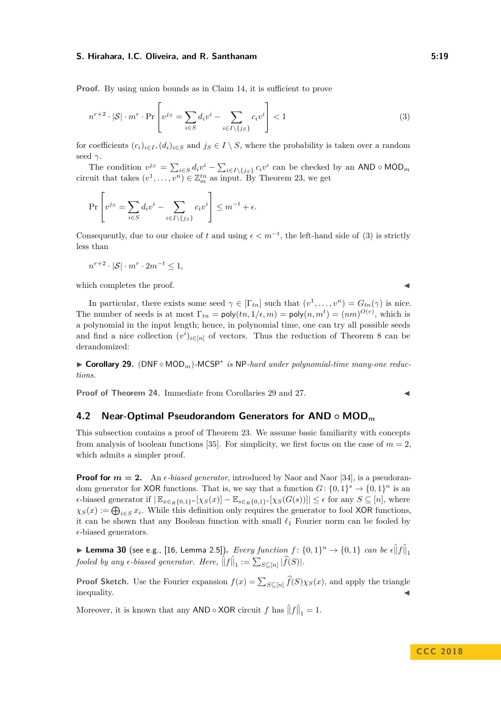**Proof.** By using union bounds as in Claim [14,](#page-10-3) it is sufficient to prove

$$
n^{r+2} \cdot |\mathcal{S}| \cdot m^r \cdot \Pr\left[v^{js} = \sum_{i \in S} d_i v^i - \sum_{i \in I \setminus \{j_S\}} c_i v^i\right] < 1\tag{3}
$$

for coefficients  $(c_i)_{i \in I}$ ,  $(d_i)_{i \in S}$  and  $j_S \in I \setminus S$ , where the probability is taken over a random seed *γ*.

The condition  $v^{js} = \sum_{i \in S} d_i v^i - \sum_{i \in I \setminus \{j_S\}} c_i v^i$  can be checked by an AND ◦ MOD<sub>*m*</sub> circuit that takes  $(v^1, \ldots, v^n) \in \mathbb{Z}_m^{tn}$  as input. By Theorem [23,](#page-16-1) we get

$$
\Pr\left[v^{js} = \sum_{i \in S} d_i v^i - \sum_{i \in I \setminus \{j_S\}} c_i v^i\right] \le m^{-t} + \epsilon.
$$

Consequently, due to our choice of *t* and using  $\epsilon < m^{-t}$ , the left-hand side of [\(3\)](#page-18-1) is strictly less than

$$
n^{r+2} \cdot |\mathcal{S}| \cdot m^r \cdot 2m^{-t} \le 1,
$$

which completes the proof.

In particular, there exists some seed  $\gamma \in [\Gamma_{tn}]$  such that  $(v^1, \ldots, v^n) = G_{tn}(\gamma)$  is nice. The number of seeds is at most  $\Gamma_{tn} = \text{poly}(tn, 1/\epsilon, m) = \text{poly}(n, m^t) = (nm)^{O(r)}$ , which is a polynomial in the input length; hence, in polynomial time, one can try all possible seeds and find a nice collection  $(v^i)_{i \in [n]}$  of vectors. Thus the reduction of Theorem [8](#page-8-2) can be derandomized:

<span id="page-18-2"></span>► Corollary 29. (DNF ∘ MOD<sub>m</sub>)-MCSP<sup>\*</sup> is NP-hard under polynomial-time many-one reduc*tions.*

**Proof of Theorem [24.](#page-16-3)** Immediate from Corollaries [29](#page-18-2) and [27.](#page-17-2)

## <span id="page-18-0"></span>**4.2 Near-Optimal Pseudorandom Generators for AND ◦ MOD***<sup>m</sup>*

This subsection contains a proof of Theorem [23.](#page-16-1) We assume basic familiarity with concepts from analysis of boolean functions [\[35\]](#page-24-7). For simplicity, we first focus on the case of  $m = 2$ , which admits a simpler proof.

**Proof for**  $m = 2$ . An  $\epsilon$ -biased generator, introduced by Naor and Naor [\[34\]](#page-23-13), is a pseudorandom generator for XOR functions. That is, we say that a function  $G: \{0,1\}^s \to \{0,1\}^n$  is an  $\epsilon$ -biased generator if  $|\mathbb{E}_{x \in R}$ {0,1}*n* [ $\chi$ *s*(*x*)] –  $\mathbb{E}_{s \in R}$ {0,1}*s* [ $\chi$ *s*(*G*(*s*))]]  $\leq \epsilon$  for any  $S \subseteq [n]$ , where  $\chi_S(x) := \bigoplus_{i \in S} x_i$ . While this definition only requires the generator to fool XOR functions, it can be shown that any Boolean function with small  $\ell_1$  Fourier norm can be fooled by  $\epsilon$ -biased generators.

▶ Lemma 30 (see e.g., [\[16,](#page-22-13) Lemma 2.5]). *Every function f* :  $\{0,1\}^n \rightarrow \{0,1\}$  can be  $\epsilon \hat{||}f\hat{||}_1$ *fooled by any*  $\epsilon$ -biased generator. Here,  $\left\|f\right\|_1 := \sum_{S \subseteq [n]} |\widehat{f}(S)|$ .

**Proof Sketch.** Use the Fourier expansion  $f(x) = \sum_{S \subseteq [n]} f(S) \chi_S(x)$ , and apply the triangle  $\blacksquare$ inequality.

Moreover, it is known that any AND  $\circ$  XOR circuit  $f$  has  $\left\|f\right\|_1 = 1$ .

## **C C C 2 0 1 8**

<span id="page-18-1"></span>
$$
\blacksquare
$$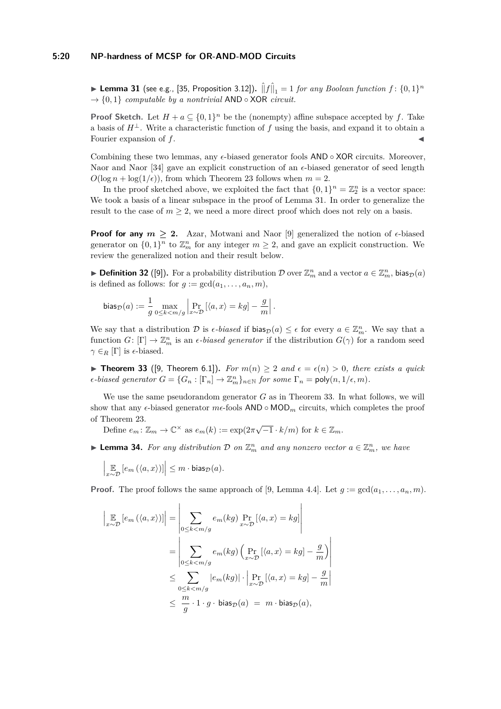#### **5:20 NP-hardness of MCSP for OR-AND-MOD Circuits**

<span id="page-19-0"></span> $\blacktriangleright$  Lemma 31 (see e.g., [\[35,](#page-24-7) Proposition 3.12]).  $\hat{\|}f\hat{\|}_1 = 1$  *for any Boolean function f* :  $\{0,1\}^n$  $\rightarrow$  {0, 1} *computable by a nontrivial* AND  $\circ$  XOR *circuit.* 

**Proof Sketch.** Let  $H + a \subseteq \{0,1\}^n$  be the (nonempty) affine subspace accepted by *f*. Take a basis of  $H^{\perp}$ . Write a characteristic function of f using the basis, and expand it to obtain a Fourier expansion of f.

Combining these two lemmas, any  $\epsilon$ -biased generator fools AND ∘ XOR circuits. Moreover, Naor and Naor  $[34]$  gave an explicit construction of an  $\epsilon$ -biased generator of seed length  $O(\log n + \log(1/\epsilon))$ , from which Theorem [23](#page-16-1) follows when  $m = 2$ .

In the proof sketched above, we exploited the fact that  $\{0,1\}^n = \mathbb{Z}_2^n$  is a vector space: We took a basis of a linear subspace in the proof of Lemma [31.](#page-19-0) In order to generalize the result to the case of  $m \geq 2$ , we need a more direct proof which does not rely on a basis.

**Proof for any**  $m \geq 2$ . Azar, Motwani and Naor [\[9\]](#page-22-12) generalized the notion of  $\epsilon$ -biased generator on  $\{0,1\}^n$  to  $\mathbb{Z}_m^n$  for any integer  $m \geq 2$ , and gave an explicit construction. We review the generalized notion and their result below.

**Definition 32** ([\[9\]](#page-22-12)). For a probability distribution D over  $\mathbb{Z}_m^n$  and a vector  $a \in \mathbb{Z}_m^n$ , bias $p(a)$ is defined as follows: for  $g := \gcd(a_1, \ldots, a_n, m)$ ,

$$
\mathrm{bias}_{\mathcal{D}}(a) := \frac{1}{g} \max_{0 \leq k < m / g} \left| \Pr_{x \sim \mathcal{D}} \left[ \langle a, x \rangle = k g \right] - \frac{g}{m} \right|.
$$

We say that a distribution D is  $\epsilon$ -biased if bias<sub>D</sub>(a)  $\leq \epsilon$  for every  $a \in \mathbb{Z}_m^n$ . We say that a function  $G: [\Gamma] \to \mathbb{Z}_m^n$  is an  $\epsilon$ *-biased generator* if the distribution  $G(\gamma)$  for a random seed  $\gamma \in_R [\Gamma]$  is  $\epsilon$ -biased.

<span id="page-19-1"></span>▶ **Theorem 33** ([\[9,](#page-22-12) Theorem 6.1]). *For*  $m(n) > 2$  and  $\epsilon = \epsilon(n) > 0$ , there exists a quick  $\epsilon$ -biased generator  $G = \{G_n : [\Gamma_n] \to \mathbb{Z}_m^n\}_{n \in \mathbb{N}}$  for some  $\Gamma_n = \text{poly}(n, 1/\epsilon, m)$ .

We use the same pseudorandom generator *G* as in Theorem [33.](#page-19-1) In what follows, we will show that any  $\epsilon$ -biased generator  $m\epsilon$ -fools AND  $\circ$  MOD<sub>m</sub> circuits, which completes the proof of Theorem [23.](#page-16-1)

Define  $e_m: \mathbb{Z}_m \to \mathbb{C}^\times$  as  $e_m(k) := \exp(2\pi\sqrt{-1} \cdot k/m)$  for  $k \in \mathbb{Z}_m$ .

<span id="page-19-2"></span>**Example 12.** For any distribution D on  $\mathbb{Z}_m^n$  and any nonzero vector  $a \in \mathbb{Z}_m^n$ , we have

$$
\left|\mathop{\mathbb{E}}_{x \sim \mathcal{D}}\left[e_m\left(\langle a, x\rangle\right)\right]\right| \leq m \cdot \mathsf{bias}_{\mathcal{D}}(a).
$$

**Proof.** The proof follows the same approach of [\[9,](#page-22-12) Lemma 4.4]. Let  $g := \gcd(a_1, \ldots, a_n, m)$ .

$$
\left| \mathop{\mathbb{E}}_{x \sim \mathcal{D}} \left[ e_m \left( \langle a, x \rangle \right) \right] \right| = \left| \sum_{0 \le k < m/g} e_m(kg) \Pr_{x \sim \mathcal{D}} \left[ \langle a, x \rangle = kg \right] \right|
$$
\n
$$
= \left| \sum_{0 \le k < m/g} e_m(kg) \left( \Pr_{x \sim \mathcal{D}} \left[ \langle a, x \rangle = kg \right] - \frac{g}{m} \right) \right|
$$
\n
$$
\le \sum_{0 \le k < m/g} \left| e_m(kg) \right| \cdot \left| \Pr_{x \sim \mathcal{D}} \left[ \langle a, x \rangle = kg \right] - \frac{g}{m} \right|
$$
\n
$$
\le \frac{m}{g} \cdot 1 \cdot g \cdot \text{bias}_{\mathcal{D}}(a) = m \cdot \text{bias}_{\mathcal{D}}(a),
$$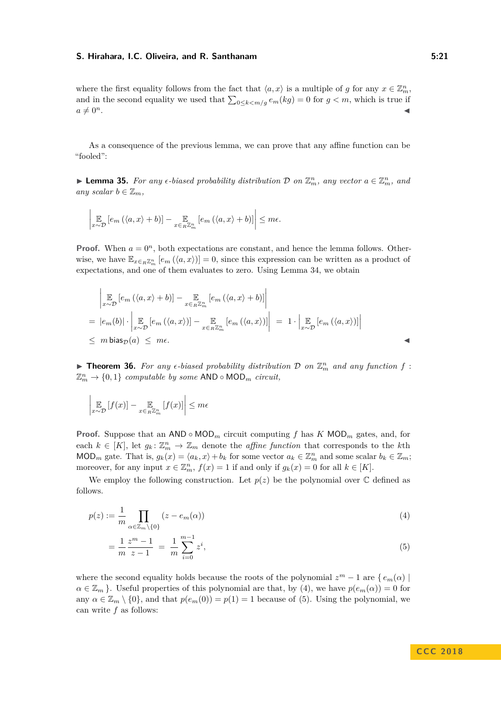where the first equality follows from the fact that  $\langle a, x \rangle$  is a multiple of *g* for any  $x \in \mathbb{Z}_m^n$ , and in the second equality we used that  $\sum_{0 \leq k < m/g} e_m(kg) = 0$  for  $g < m$ , which is true if  $a \neq 0^n$ .

As a consequence of the previous lemma, we can prove that any affine function can be "fooled":

<span id="page-20-2"></span>**Example 15.** For any  $\epsilon$ -biased probability distribution D on  $\mathbb{Z}_m^n$ , any vector  $a \in \mathbb{Z}_m^n$ , and *any scalar*  $b \in \mathbb{Z}_m$ *,* 

$$
\left| \underset{x \sim \mathcal{D}}{\mathbb{E}} \left[ e_m \left( \langle a, x \rangle + b \right) \right] - \underset{x \in R\mathbb{Z}_m^n}{\mathbb{E}} \left[ e_m \left( \langle a, x \rangle + b \right) \right] \right| \leq m\epsilon.
$$

**Proof.** When  $a = 0^n$ , both expectations are constant, and hence the lemma follows. Otherwise, we have  $\mathbb{E}_{x \in R\mathbb{Z}_m^n}$   $[e_m(\langle a, x \rangle)] = 0$ , since this expression can be written as a product of expectations, and one of them evaluates to zero. Using Lemma [34,](#page-19-2) we obtain

$$
\begin{aligned}\n&\left| \mathop{\mathbb{E}}_{x \sim \mathcal{D}} \left[ e_m \left( \langle a, x \rangle + b \right) \right] - \mathop{\mathbb{E}}_{x \in_R \mathbb{Z}_m^n} \left[ e_m \left( \langle a, x \rangle + b \right) \right] \right| \\
&= |e_m(b)| \cdot \left| \mathop{\mathbb{E}}_{x \sim \mathcal{D}} \left[ e_m \left( \langle a, x \rangle \right) \right] - \mathop{\mathbb{E}}_{x \in_R \mathbb{Z}_m^n} \left[ e_m \left( \langle a, x \rangle \right) \right] \right| \\
&\leq m \operatorname{bias}_{\mathcal{D}}(a) \leq m \epsilon.\n\end{aligned}
$$

<span id="page-20-3"></span>**Fineorem 36.** For any  $\epsilon$ -biased probability distribution  $\mathcal{D}$  on  $\mathbb{Z}_m^n$  and any function  $f$ :  $\mathbb{Z}_m^n \to \{0,1\}$  *computable by some* AND  $\circ$  MOD<sub>*m</sub> circuit,*</sub>

$$
\left| \underset{x \sim \mathcal{D}}{\mathbb{E}} \left[ f(x) \right] - \underset{x \in_R \mathbb{Z}_m^n}{\mathbb{E}} \left[ f(x) \right] \right| \leq m\epsilon
$$

**Proof.** Suppose that an AND  $\circ$  MOD<sub>*m*</sub> circuit computing *f* has *K* MOD<sub>*m*</sub> gates, and, for each  $k \in [K]$ , let  $g_k: \mathbb{Z}_m^n \to \mathbb{Z}_m$  denote the *affine function* that corresponds to the *k*th MOD<sub>*m*</sub> gate. That is,  $g_k(x) = \langle a_k, x \rangle + b_k$  for some vector  $a_k \in \mathbb{Z}_m^n$  and some scalar  $b_k \in \mathbb{Z}_m$ ; moreover, for any input  $x \in \mathbb{Z}_m^n$ ,  $f(x) = 1$  if and only if  $g_k(x) = 0$  for all  $k \in [K]$ .

We employ the following construction. Let  $p(z)$  be the polynomial over  $\mathbb C$  defined as follows.

$$
p(z) := \frac{1}{m} \prod_{\alpha \in \mathbb{Z}_m \setminus \{0\}} (z - e_m(\alpha)) \tag{4}
$$

<span id="page-20-1"></span><span id="page-20-0"></span>
$$
=\frac{1}{m}\frac{z^m-1}{z-1}=\frac{1}{m}\sum_{i=0}^{m-1}z^i,
$$
\n(5)

where the second equality holds because the roots of the polynomial  $z^m - 1$  are  $\{e_m(\alpha) \mid$  $\alpha \in \mathbb{Z}_m$ . Useful properties of this polynomial are that, by [\(4\)](#page-20-0), we have  $p(e_m(\alpha)) = 0$  for any  $\alpha \in \mathbb{Z}_m \setminus \{0\}$ , and that  $p(e_m(0)) = p(1) = 1$  because of [\(5\)](#page-20-1). Using the polynomial, we can write *f* as follows: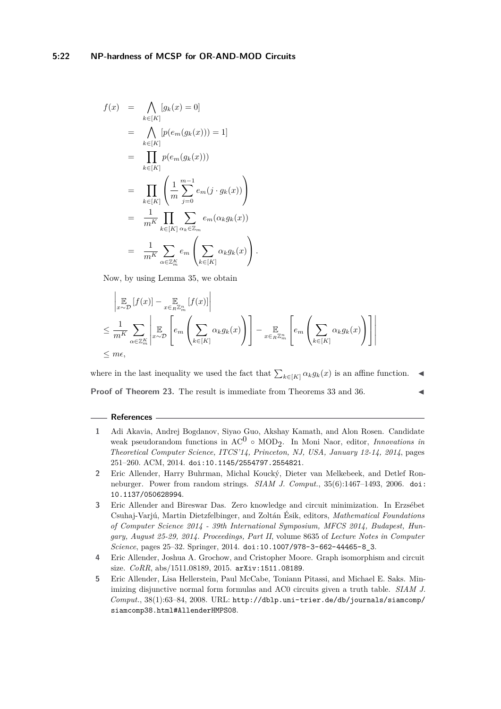$$
f(x) = \bigwedge_{k \in [K]} [g_k(x) = 0]
$$
  
\n
$$
= \bigwedge_{k \in [K]} [p(e_m(g_k(x))) = 1]
$$
  
\n
$$
= \prod_{k \in [K]} p(e_m(g_k(x)))
$$
  
\n
$$
= \prod_{k \in [K]} \left( \frac{1}{m} \sum_{j=0}^{m-1} e_m(j \cdot g_k(x)) \right)
$$
  
\n
$$
= \frac{1}{m^K} \prod_{k \in [K]} \sum_{\alpha_k \in \mathbb{Z}_m} e_m(\alpha_k g_k(x))
$$
  
\n
$$
= \frac{1}{m^K} \sum_{\alpha \in \mathbb{Z}_m^K} e_m \left( \sum_{k \in [K]} \alpha_k g_k(x) \right).
$$

Now, by using Lemma [35,](#page-20-2) we obtain

$$
\left| \mathop{\mathbb{E}}_{x \sim \mathcal{D}} [f(x)] - \mathop{\mathbb{E}}_{x \in R \mathbb{Z}_m^n} [f(x)] \right|
$$
\n
$$
\leq \frac{1}{m^K} \sum_{\alpha \in \mathbb{Z}_m^K} \left| \mathop{\mathbb{E}}_{x \sim \mathcal{D}} \left[ e_m \left( \sum_{k \in [K]} \alpha_k g_k(x) \right) \right] - \mathop{\mathbb{E}}_{x \in R \mathbb{Z}_m^n} \left[ e_m \left( \sum_{k \in [K]} \alpha_k g_k(x) \right) \right] \right|
$$
\n
$$
\leq m\epsilon,
$$

where in the last inequality we used the fact that  $\sum_{k \in [K]} \alpha_k g_k(x)$  is an affine function.  $\blacktriangleleft$ **Proof of Theorem [23.](#page-16-1)** The result is immediate from Theorems [33](#page-19-1) and [36.](#page-20-3)

#### **References**

- <span id="page-21-4"></span>**1** Adi Akavia, Andrej Bogdanov, Siyao Guo, Akshay Kamath, and Alon Rosen. Candidate weak pseudorandom functions in AC<sup>0</sup> ◦ MOD2 . In Moni Naor, editor, *Innovations in Theoretical Computer Science, ITCS'14, Princeton, NJ, USA, January 12-14, 2014*, pages 251–260. ACM, 2014. [doi:10.1145/2554797.2554821](http://dx.doi.org/10.1145/2554797.2554821).
- <span id="page-21-1"></span>**2** Eric Allender, Harry Buhrman, Michal Koucký, Dieter van Melkebeek, and Detlef Ronneburger. Power from random strings. *SIAM J. Comput.*, 35(6):1467–1493, 2006. [doi:](http://dx.doi.org/10.1137/050628994) [10.1137/050628994](http://dx.doi.org/10.1137/050628994).
- <span id="page-21-2"></span>**3** Eric Allender and Bireswar Das. Zero knowledge and circuit minimization. In Erzsébet Csuhaj-Varjú, Martin Dietzfelbinger, and Zoltán Ésik, editors, *Mathematical Foundations of Computer Science 2014 - 39th International Symposium, MFCS 2014, Budapest, Hungary, August 25-29, 2014. Proceedings, Part II*, volume 8635 of *Lecture Notes in Computer Science*, pages 25–32. Springer, 2014. [doi:10.1007/978-3-662-44465-8\\_3](http://dx.doi.org/10.1007/978-3-662-44465-8_3).
- <span id="page-21-3"></span>**4** Eric Allender, Joshua A. Grochow, and Cristopher Moore. Graph isomorphism and circuit size. *CoRR*, abs/1511.08189, 2015. [arXiv:1511.08189](http://arxiv.org/abs/1511.08189).
- <span id="page-21-0"></span>**5** Eric Allender, Lisa Hellerstein, Paul McCabe, Toniann Pitassi, and Michael E. Saks. Minimizing disjunctive normal form formulas and AC0 circuits given a truth table. *SIAM J. Comput.*, 38(1):63–84, 2008. URL: [http://dblp.uni-trier.de/db/journals/siamcomp/](http://dblp.uni-trier.de/db/journals/siamcomp/siamcomp38.html#AllenderHMPS08) [siamcomp38.html#AllenderHMPS08](http://dblp.uni-trier.de/db/journals/siamcomp/siamcomp38.html#AllenderHMPS08).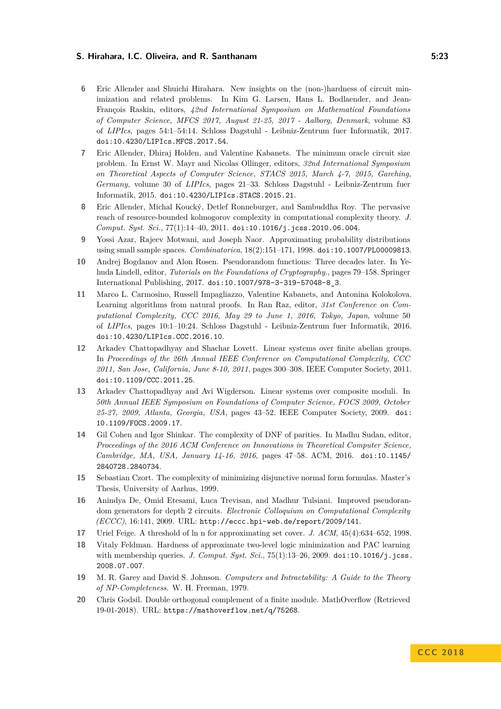- <span id="page-22-2"></span>**6** Eric Allender and Shuichi Hirahara. New insights on the (non-)hardness of circuit minimization and related problems. In Kim G. Larsen, Hans L. Bodlaender, and Jean-François Raskin, editors, *42nd International Symposium on Mathematical Foundations of Computer Science, MFCS 2017, August 21-25, 2017 - Aalborg, Denmark*, volume 83 of *LIPIcs*, pages 54:1–54:14. Schloss Dagstuhl - Leibniz-Zentrum fuer Informatik, 2017. [doi:10.4230/LIPIcs.MFCS.2017.54](http://dx.doi.org/10.4230/LIPIcs.MFCS.2017.54).
- <span id="page-22-1"></span>**7** Eric Allender, Dhiraj Holden, and Valentine Kabanets. The minimum oracle circuit size problem. In Ernst W. Mayr and Nicolas Ollinger, editors, *32nd International Symposium on Theoretical Aspects of Computer Science, STACS 2015, March 4-7, 2015, Garching, Germany*, volume 30 of *LIPIcs*, pages 21–33. Schloss Dagstuhl - Leibniz-Zentrum fuer Informatik, 2015. [doi:10.4230/LIPIcs.STACS.2015.21](http://dx.doi.org/10.4230/LIPIcs.STACS.2015.21).
- <span id="page-22-0"></span>**8** Eric Allender, Michal Koucký, Detlef Ronneburger, and Sambuddha Roy. The pervasive reach of resource-bounded kolmogorov complexity in computational complexity theory. *J. Comput. Syst. Sci.*, 77(1):14–40, 2011. [doi:10.1016/j.jcss.2010.06.004](http://dx.doi.org/10.1016/j.jcss.2010.06.004).
- <span id="page-22-12"></span>**9** Yossi Azar, Rajeev Motwani, and Joseph Naor. Approximating probability distributions using small sample spaces. *Combinatorica*, 18(2):151–171, 1998. [doi:10.1007/PL00009813](http://dx.doi.org/10.1007/PL00009813).
- <span id="page-22-5"></span>**10** Andrej Bogdanov and Alon Rosen. Pseudorandom functions: Three decades later. In Yehuda Lindell, editor, *Tutorials on the Foundations of Cryptography.*, pages 79–158. Springer International Publishing, 2017. [doi:10.1007/978-3-319-57048-8\\_3](http://dx.doi.org/10.1007/978-3-319-57048-8_3).
- <span id="page-22-4"></span>**11** Marco L. Carmosino, Russell Impagliazzo, Valentine Kabanets, and Antonina Kolokolova. Learning algorithms from natural proofs. In Ran Raz, editor, *31st Conference on Computational Complexity, CCC 2016, May 29 to June 1, 2016, Tokyo, Japan*, volume 50 of *LIPIcs*, pages 10:1–10:24. Schloss Dagstuhl - Leibniz-Zentrum fuer Informatik, 2016. [doi:10.4230/LIPIcs.CCC.2016.10](http://dx.doi.org/10.4230/LIPIcs.CCC.2016.10).
- <span id="page-22-9"></span>**12** Arkadev Chattopadhyay and Shachar Lovett. Linear systems over finite abelian groups. In *Proceedings of the 26th Annual IEEE Conference on Computational Complexity, CCC 2011, San Jose, California, June 8-10, 2011*, pages 300–308. IEEE Computer Society, 2011. [doi:10.1109/CCC.2011.25](http://dx.doi.org/10.1109/CCC.2011.25).
- <span id="page-22-8"></span>**13** Arkadev Chattopadhyay and Avi Wigderson. Linear systems over composite moduli. In *50th Annual IEEE Symposium on Foundations of Computer Science, FOCS 2009, October 25-27, 2009, Atlanta, Georgia, USA*, pages 43–52. IEEE Computer Society, 2009. [doi:](http://dx.doi.org/10.1109/FOCS.2009.17) [10.1109/FOCS.2009.17](http://dx.doi.org/10.1109/FOCS.2009.17).
- <span id="page-22-7"></span>**14** Gil Cohen and Igor Shinkar. The complexity of DNF of parities. In Madhu Sudan, editor, *Proceedings of the 2016 ACM Conference on Innovations in Theoretical Computer Science, Cambridge, MA, USA, January 14-16, 2016*, pages 47–58. ACM, 2016. [doi:10.1145/](http://dx.doi.org/10.1145/2840728.2840734) [2840728.2840734](http://dx.doi.org/10.1145/2840728.2840734).
- <span id="page-22-6"></span>**15** Sebastian Czort. The complexity of minimizing disjunctive normal form formulas. Master's Thesis, University of Aarhus, 1999.
- <span id="page-22-13"></span>**16** Anindya De, Omid Etesami, Luca Trevisan, and Madhur Tulsiani. Improved pseudorandom generators for depth 2 circuits. *Electronic Colloquium on Computational Complexity (ECCC)*, 16:141, 2009. URL: <http://eccc.hpi-web.de/report/2009/141>.
- <span id="page-22-11"></span>**17** Uriel Feige. A threshold of ln n for approximating set cover. *J. ACM*, 45(4):634–652, 1998.
- <span id="page-22-3"></span>**18** Vitaly Feldman. Hardness of approximate two-level logic minimization and PAC learning with membership queries. *J. Comput. Syst. Sci.*,  $75(1)$ :13-26, 2009. [doi:10.1016/j.jcss.](http://dx.doi.org/10.1016/j.jcss.2008.07.007) [2008.07.007](http://dx.doi.org/10.1016/j.jcss.2008.07.007).
- <span id="page-22-10"></span>**19** M. R. Garey and David S. Johnson. *Computers and Intractability: A Guide to the Theory of NP-Completeness*. W. H. Freeman, 1979.
- <span id="page-22-14"></span>**20** Chris Godsil. Double orthogonal complement of a finite module. MathOverflow (Retrieved 19-01-2018). URL: <https://mathoverflow.net/q/75268>.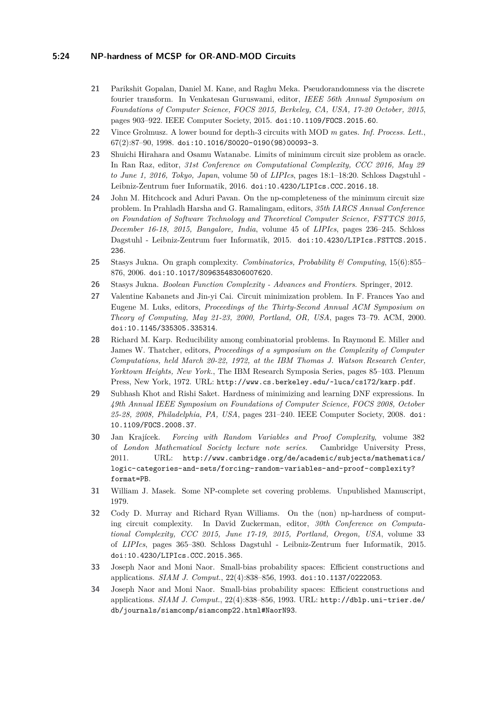### **5:24 NP-hardness of MCSP for OR-AND-MOD Circuits**

- <span id="page-23-12"></span>**21** Parikshit Gopalan, Daniel M. Kane, and Raghu Meka. Pseudorandomness via the discrete fourier transform. In Venkatesan Guruswami, editor, *IEEE 56th Annual Symposium on Foundations of Computer Science, FOCS 2015, Berkeley, CA, USA, 17-20 October, 2015*, pages 903–922. IEEE Computer Society, 2015. [doi:10.1109/FOCS.2015.60](http://dx.doi.org/10.1109/FOCS.2015.60).
- <span id="page-23-10"></span>**22** Vince Grolmusz. A lower bound for depth-3 circuits with MOD *m* gates. *Inf. Process. Lett.*, 67(2):87–90, 1998. [doi:10.1016/S0020-0190\(98\)00093-3](http://dx.doi.org/10.1016/S0020-0190(98)00093-3).
- <span id="page-23-4"></span>**23** Shuichi Hirahara and Osamu Watanabe. Limits of minimum circuit size problem as oracle. In Ran Raz, editor, *31st Conference on Computational Complexity, CCC 2016, May 29 to June 1, 2016, Tokyo, Japan*, volume 50 of *LIPIcs*, pages 18:1–18:20. Schloss Dagstuhl - Leibniz-Zentrum fuer Informatik, 2016. [doi:10.4230/LIPIcs.CCC.2016.18](http://dx.doi.org/10.4230/LIPIcs.CCC.2016.18).
- <span id="page-23-3"></span>**24** John M. Hitchcock and Aduri Pavan. On the np-completeness of the minimum circuit size problem. In Prahladh Harsha and G. Ramalingam, editors, *35th IARCS Annual Conference on Foundation of Software Technology and Theoretical Computer Science, FSTTCS 2015, December 16-18, 2015, Bangalore, India*, volume 45 of *LIPIcs*, pages 236–245. Schloss Dagstuhl - Leibniz-Zentrum fuer Informatik, 2015. [doi:10.4230/LIPIcs.FSTTCS.2015.](http://dx.doi.org/10.4230/LIPIcs.FSTTCS.2015.236) [236](http://dx.doi.org/10.4230/LIPIcs.FSTTCS.2015.236).
- <span id="page-23-7"></span>**25** Stasys Jukna. On graph complexity. *Combinatorics, Probability & Computing*, 15(6):855– 876, 2006. [doi:10.1017/S0963548306007620](http://dx.doi.org/10.1017/S0963548306007620).
- <span id="page-23-8"></span>**26** Stasys Jukna. *Boolean Function Complexity - Advances and Frontiers*. Springer, 2012.
- <span id="page-23-1"></span>**27** Valentine Kabanets and Jin-yi Cai. Circuit minimization problem. In F. Frances Yao and Eugene M. Luks, editors, *Proceedings of the Thirty-Second Annual ACM Symposium on Theory of Computing, May 21-23, 2000, Portland, OR, USA*, pages 73–79. ACM, 2000. [doi:10.1145/335305.335314](http://dx.doi.org/10.1145/335305.335314).
- <span id="page-23-9"></span>**28** Richard M. Karp. Reducibility among combinatorial problems. In Raymond E. Miller and James W. Thatcher, editors, *Proceedings of a symposium on the Complexity of Computer Computations, held March 20-22, 1972, at the IBM Thomas J. Watson Research Center, Yorktown Heights, New York.*, The IBM Research Symposia Series, pages 85–103. Plenum Press, New York, 1972. URL: <http://www.cs.berkeley.edu/~luca/cs172/karp.pdf>.
- <span id="page-23-6"></span>**29** Subhash Khot and Rishi Saket. Hardness of minimizing and learning DNF expressions. In *49th Annual IEEE Symposium on Foundations of Computer Science, FOCS 2008, October 25-28, 2008, Philadelphia, PA, USA*, pages 231–240. IEEE Computer Society, 2008. [doi:](http://dx.doi.org/10.1109/FOCS.2008.37) [10.1109/FOCS.2008.37](http://dx.doi.org/10.1109/FOCS.2008.37).
- <span id="page-23-5"></span>**30** Jan Krajícek. *Forcing with Random Variables and Proof Complexity*, volume 382 of *London Mathematical Society lecture note series*. Cambridge University Press, 2011. URL: [http://www.cambridge.org/de/academic/subjects/mathematics/](http://www.cambridge.org/de/academic/subjects/mathematics/logic-categories-and-sets/forcing-random-variables-and-proof-complexity?format=PB) [logic-categories-and-sets/forcing-random-variables-and-proof-complexity?](http://www.cambridge.org/de/academic/subjects/mathematics/logic-categories-and-sets/forcing-random-variables-and-proof-complexity?format=PB) [format=PB](http://www.cambridge.org/de/academic/subjects/mathematics/logic-categories-and-sets/forcing-random-variables-and-proof-complexity?format=PB).
- <span id="page-23-0"></span>**31** William J. Masek. Some NP-complete set covering problems. Unpublished Manuscript, 1979.
- <span id="page-23-2"></span>**32** Cody D. Murray and Richard Ryan Williams. On the (non) np-hardness of computing circuit complexity. In David Zuckerman, editor, *30th Conference on Computational Complexity, CCC 2015, June 17-19, 2015, Portland, Oregon, USA*, volume 33 of *LIPIcs*, pages 365–380. Schloss Dagstuhl - Leibniz-Zentrum fuer Informatik, 2015. [doi:10.4230/LIPIcs.CCC.2015.365](http://dx.doi.org/10.4230/LIPIcs.CCC.2015.365).
- <span id="page-23-11"></span>**33** Joseph Naor and Moni Naor. Small-bias probability spaces: Efficient constructions and applications. *SIAM J. Comput.*, 22(4):838–856, 1993. [doi:10.1137/0222053](http://dx.doi.org/10.1137/0222053).
- <span id="page-23-13"></span>**34** Joseph Naor and Moni Naor. Small-bias probability spaces: Efficient constructions and applications. *SIAM J. Comput.*, 22(4):838–856, 1993. URL: [http://dblp.uni-trier.de/](http://dblp.uni-trier.de/db/journals/siamcomp/siamcomp22.html#NaorN93) [db/journals/siamcomp/siamcomp22.html#NaorN93](http://dblp.uni-trier.de/db/journals/siamcomp/siamcomp22.html#NaorN93).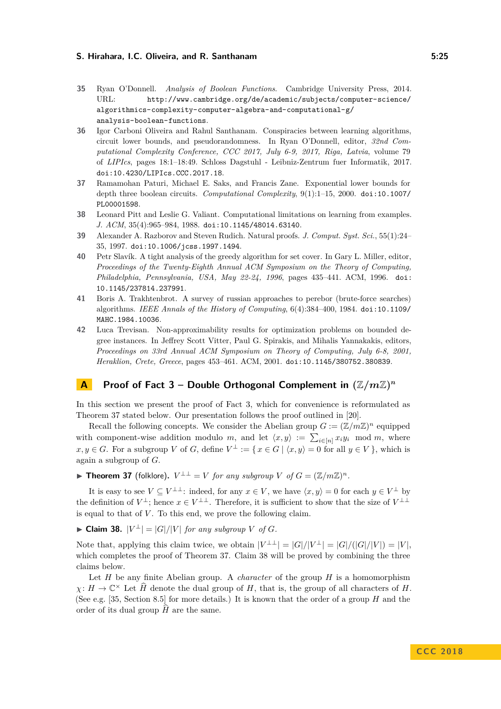- <span id="page-24-7"></span>**35** Ryan O'Donnell. *Analysis of Boolean Functions*. Cambridge University Press, 2014. URL: [http://www.cambridge.org/de/academic/subjects/computer-science/](http://www.cambridge.org/de/academic/subjects/computer-science/algorithmics-complexity-computer-algebra-and-computational-g/analysis-boolean-functions) [algorithmics-complexity-computer-algebra-and-computational-g/](http://www.cambridge.org/de/academic/subjects/computer-science/algorithmics-complexity-computer-algebra-and-computational-g/analysis-boolean-functions) [analysis-boolean-functions](http://www.cambridge.org/de/academic/subjects/computer-science/algorithmics-complexity-computer-algebra-and-computational-g/analysis-boolean-functions).
- <span id="page-24-3"></span>**36** Igor Carboni Oliveira and Rahul Santhanam. Conspiracies between learning algorithms, circuit lower bounds, and pseudorandomness. In Ryan O'Donnell, editor, *32nd Computational Complexity Conference, CCC 2017, July 6-9, 2017, Riga, Latvia*, volume 79 of *LIPIcs*, pages 18:1–18:49. Schloss Dagstuhl - Leibniz-Zentrum fuer Informatik, 2017. [doi:10.4230/LIPIcs.CCC.2017.18](http://dx.doi.org/10.4230/LIPIcs.CCC.2017.18).
- <span id="page-24-4"></span>**37** Ramamohan Paturi, Michael E. Saks, and Francis Zane. Exponential lower bounds for depth three boolean circuits. *Computational Complexity*, 9(1):1–15, 2000. [doi:10.1007/](http://dx.doi.org/10.1007/PL00001598) [PL00001598](http://dx.doi.org/10.1007/PL00001598).
- <span id="page-24-1"></span>**38** Leonard Pitt and Leslie G. Valiant. Computational limitations on learning from examples. *J. ACM*, 35(4):965–984, 1988. [doi:10.1145/48014.63140](http://dx.doi.org/10.1145/48014.63140).
- <span id="page-24-2"></span>**39** Alexander A. Razborov and Steven Rudich. Natural proofs. *J. Comput. Syst. Sci.*, 55(1):24– 35, 1997. [doi:10.1006/jcss.1997.1494](http://dx.doi.org/10.1006/jcss.1997.1494).
- <span id="page-24-10"></span>**40** Petr Slavík. A tight analysis of the greedy algorithm for set cover. In Gary L. Miller, editor, *Proceedings of the Twenty-Eighth Annual ACM Symposium on the Theory of Computing, Philadelphia, Pennsylvania, USA, May 22-24, 1996*, pages 435–441. ACM, 1996. [doi:](http://dx.doi.org/10.1145/237814.237991) [10.1145/237814.237991](http://dx.doi.org/10.1145/237814.237991).
- <span id="page-24-0"></span>**41** Boris A. Trakhtenbrot. A survey of russian approaches to perebor (brute-force searches) algorithms. *IEEE Annals of the History of Computing*, 6(4):384–400, 1984. [doi:10.1109/](http://dx.doi.org/10.1109/MAHC.1984.10036) [MAHC.1984.10036](http://dx.doi.org/10.1109/MAHC.1984.10036).
- <span id="page-24-5"></span>**42** Luca Trevisan. Non-approximability results for optimization problems on bounded degree instances. In Jeffrey Scott Vitter, Paul G. Spirakis, and Mihalis Yannakakis, editors, *Proceedings on 33rd Annual ACM Symposium on Theory of Computing, July 6-8, 2001, Heraklion, Crete, Greece*, pages 453–461. ACM, 2001. [doi:10.1145/380752.380839](http://dx.doi.org/10.1145/380752.380839).

## <span id="page-24-6"></span>**A** Proof of Fact [3](#page-6-2) – Double Orthogonal Complement in  $(\mathbb{Z}/m\mathbb{Z})^n$

In this section we present the proof of Fact [3,](#page-6-2) which for convenience is reformulated as Theorem [37](#page-24-8) stated below. Our presentation follows the proof outlined in [\[20\]](#page-22-14).

Recall the following concepts. We consider the Abelian group  $G := (\mathbb{Z}/m\mathbb{Z})^n$  equipped with component-wise addition modulo *m*, and let  $\langle x, y \rangle := \sum_{i \in [n]} x_i y_i \mod m$ , where *x*, *y* ∈ *G*. For a subgroup *V* of *G*, define  $V^{\perp}$  := { *x* ∈ *G* |  $\langle x, y \rangle = 0$  for all *y* ∈ *V* }, which is again a subgroup of *G*.

<span id="page-24-8"></span>▶ Theorem 37 (folklore).  $V^{\perp \perp} = V$  *for any subgroup*  $V$  *of*  $G = (\mathbb{Z}/m\mathbb{Z})^n$ .

It is easy to see  $V \subseteq V^{\perp \perp}$ : indeed, for any  $x \in V$ , we have  $\langle x, y \rangle = 0$  for each  $y \in V^{\perp}$  by the definition of  $V^{\perp}$ ; hence  $x \in V^{\perp \perp}$ . Therefore, it is sufficient to show that the size of  $V^{\perp \perp}$ is equal to that of  $V$ . To this end, we prove the following claim.

<span id="page-24-9"></span>► Claim 38.  $|V^{\perp}| = |G|/|V|$  for any subgroup *V* of *G*.

Note that, applying this claim twice, we obtain  $|V^{\perp\perp}| = |G|/|V^{\perp}| = |G|/(|G|/|V|) = |V|$ , which completes the proof of Theorem [37.](#page-24-8) Claim [38](#page-24-9) will be proved by combining the three claims below.

Let *H* be any finite Abelian group. A *character* of the group *H* is a homomorphism  $\chi: H \to \mathbb{C}^\times$  Let  $\widehat{H}$  denote the dual group of *H*, that is, the group of all characters of *H*. (See e.g. [\[35,](#page-24-7) Section 8.5] for more details.) It is known that the order of a group *H* and the order of its dual group  $H$  are the same.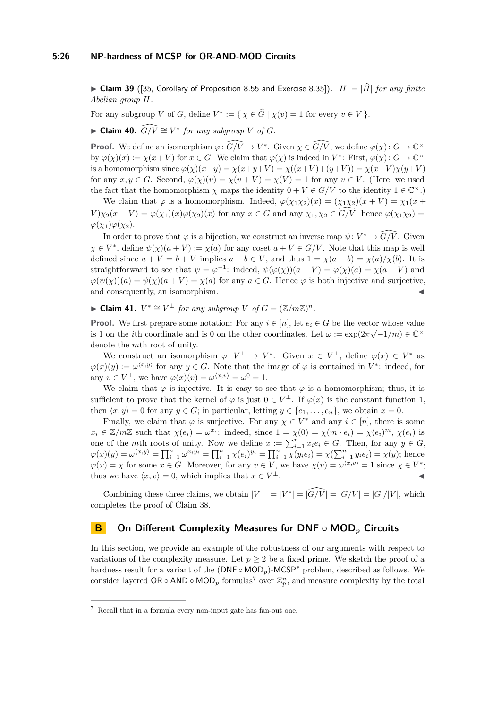$\triangleright$  **Claim 39** ([\[35,](#page-24-7) Corollary of Proposition 8.55 and Exercise 8.35]).  $|H| = |\hat{H}|$  *for any finite Abelian group H.*

For any subgroup *V* of *G*, define  $V^* := \{ \chi \in \widehat{G} \mid \chi(v) = 1 \text{ for every } v \in V \}.$ 

► Claim 40.  $\widehat{G/V} \cong V^*$  for any subgroup V of G.

**Proof.** We define an isomorphism  $\varphi: \widehat{G/V} \to V^*$ . Given  $\chi \in \widehat{G/V}$ , we define  $\varphi(\chi): G \to \mathbb{C}^\times$ by  $\varphi(\chi)(x) := \chi(x+V)$  for  $x \in G$ . We claim that  $\varphi(\chi)$  is indeed in  $V^*$ : First,  $\varphi(\chi): G \to \mathbb{C}^\times$ is a homomorphism since  $\varphi(\chi)(x+y) = \chi(x+y+V) = \chi((x+V)+(y+V)) = \chi(x+V)\chi(y+V)$ for any  $x, y \in G$ . Second,  $\varphi(\chi)(v) = \chi(v + V) = \chi(V) = 1$  for any  $v \in V$ . (Here, we used the fact that the homomorphism  $\chi$  maps the identity  $0 + V \in G/V$  to the identity  $1 \in \mathbb{C}^{\times}$ .)

We claim that  $\varphi$  is a homomorphism. Indeed,  $\varphi(\chi_1 \chi_2)(x) = (\chi_1 \chi_2)(x + V) = \chi_1(x + V)$  $V$ ) $\chi_2(x+V) = \varphi(\chi_1)(x)\varphi(\chi_2)(x)$  for any  $x \in G$  and any  $\chi_1, \chi_2 \in \widehat{G/V}$ ; hence  $\varphi(\chi_1\chi_2) =$  $\varphi(\chi_1)\varphi(\chi_2)$ .

In order to prove that  $\varphi$  is a bijection, we construct an inverse map  $\psi: V^* \to \widehat{G/V}$ . Given  $\chi \in V^*$ , define  $\psi(\chi)(a+V) := \chi(a)$  for any coset  $a+V \in G/V$ . Note that this map is well defined since  $a + V = b + V$  implies  $a - b \in V$ , and thus  $1 = \chi(a - b) = \chi(a)/\chi(b)$ . It is straightforward to see that  $\psi = \varphi^{-1}$ : indeed,  $\psi(\varphi(\chi))(a + V) = \varphi(\chi)(a) = \chi(a + V)$  and  $\varphi(\psi(\chi))(a) = \psi(\chi)(a + V) = \chi(a)$  for any  $a \in G$ . Hence  $\varphi$  is both injective and surjective, and consequently, an isomorphism.

► **Claim 41.**  $V^* \cong V^{\perp}$  *for any subgroup*  $V$  *of*  $G = (\mathbb{Z}/m\mathbb{Z})^n$ *.* 

**Proof.** We first prepare some notation: For any  $i \in [n]$ , let  $e_i \in G$  be the vector whose value is 1 on the *i*th coordinate and is 0 on the other coordinates. Let  $\omega := \exp(2\pi\sqrt{-1/m}) \in \mathbb{C}^{\times}$ denote the *m*th root of unity.

We construct an isomorphism  $\varphi: V^{\perp} \to V^*$ . Given  $x \in V^{\perp}$ , define  $\varphi(x) \in V^*$  as  $\varphi(x)(y) := \omega^{(x,y)}$  for any  $y \in G$ . Note that the image of  $\varphi$  is contained in  $V^*$ : indeed, for any  $v \in V^{\perp}$ , we have  $\varphi(x)(v) = \omega^{\langle x, v \rangle} = \omega^0 = 1$ .

We claim that  $\varphi$  is injective. It is easy to see that  $\varphi$  is a homomorphism; thus, it is sufficient to prove that the kernel of  $\varphi$  is just  $0 \in V^{\perp}$ . If  $\varphi(x)$  is the constant function 1, then  $\langle x, y \rangle = 0$  for any  $y \in G$ ; in particular, letting  $y \in \{e_1, \ldots, e_n\}$ , we obtain  $x = 0$ .

Finally, we claim that  $\varphi$  is surjective. For any  $\chi \in V^*$  and any  $i \in [n]$ , there is some  $x_i \in \mathbb{Z}/m\mathbb{Z}$  such that  $\chi(e_i) = \omega^{x_i}$ : indeed, since  $1 = \chi(0) = \chi(m \cdot e_i) = \chi(e_i)^m$ ,  $\chi(e_i)$  is one of the *m*th roots of unity. Now we define  $x := \sum_{i=1}^{n} x_i e_i \in G$ . Then, for any  $y \in G$ ,  $\varphi(x)(y) = \omega^{\langle x, y \rangle} = \prod_{i=1}^n \omega^{x_i y_i} = \prod_{i=1}^n \chi(e_i)^{y_i} = \prod_{i=1}^n \chi(y_i e_i) = \chi(\sum_{i=1}^n y_i e_i) = \chi(y);$  hence  $\varphi(x) = \chi$  for some  $x \in G$ . Moreover, for any  $v \in V$ , we have  $\chi(v) = \omega^{\langle x, v \rangle} = 1$  since  $\chi \in V^*$ ; thus we have  $\langle x, v \rangle = 0$ , which implies that  $x \in V^{\perp}$ .  $\perp$ .  $\qquad \qquad$ 

Combining these three claims, we obtain  $|V^{\perp}| = |V^*| = |\widehat{G}/V| = |G|/|V|$ , which completes the proof of Claim [38.](#page-24-9)

## <span id="page-25-0"></span>**B On Different Complexity Measures for DNF ◦ MOD***<sup>p</sup>* **Circuits**

In this section, we provide an example of the robustness of our arguments with respect to variations of the complexity measure. Let  $p \geq 2$  be a fixed prime. We sketch the proof of a hardness result for a variant of the (DNF ∘ MOD<sub>*p*</sub>)-MCSP<sup>\*</sup> problem, described as follows. We consider layered  $OR \circ AND \circ MOD_p$  formulas<sup>[7](#page-25-1)</sup> over  $\mathbb{Z}_p^n$ , and measure complexity by the total

<span id="page-25-1"></span><sup>7</sup> Recall that in a formula every non-input gate has fan-out one.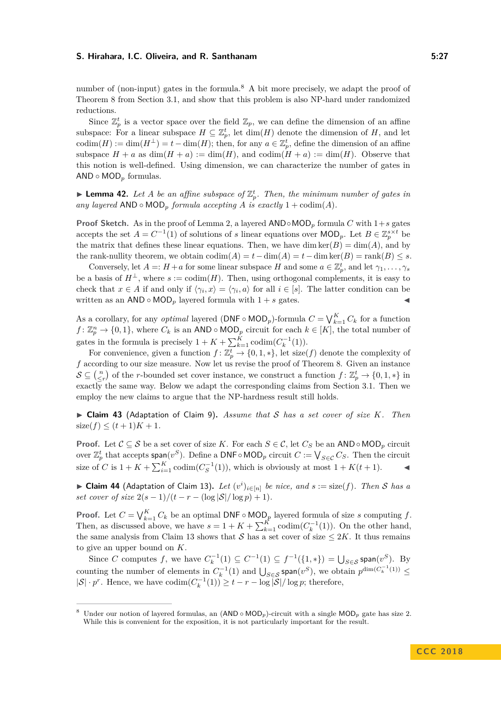number of (non-input) gates in the formula.<sup>[8](#page-26-0)</sup> A bit more precisely, we adapt the proof of Theorem [8](#page-8-2) from Section [3.1,](#page-8-1) and show that this problem is also NP-hard under randomized reductions.

Since  $\mathbb{Z}_p^t$  is a vector space over the field  $\mathbb{Z}_p$ , we can define the dimension of an affine subspace: For a linear subspace  $H \subseteq \mathbb{Z}_p^t$ , let  $\dim(H)$  denote the dimension of *H*, and let codim $(H) := \dim(H^{\perp}) = t - \dim(H)$ ; then, for any  $a \in \mathbb{Z}_p^t$ , define the dimension of an affine subspace  $H + a$  as  $dim(H + a) := dim(H)$ , and  $codim(H + a) := dim(H)$ . Observe that this notion is well-defined. Using dimension, we can characterize the number of gates in AND ◦ MOD*<sup>p</sup>* formulas.

**Lemma 42.** Let *A* be an affine subspace of  $\mathbb{Z}_p^t$ . Then, the minimum number of gates in *any layered*  $AND \circ MOD_p$  *formula accepting A is exactly*  $1 + \text{codim}(A)$ *.* 

**Proof Sketch.** As in the proof of Lemma [2,](#page-6-1) a layered  $AND \circ MOD_p$  formula *C* with  $1+s$  gates accepts the set  $A = C^{-1}(1)$  of solutions of *s* linear equations over  $\text{MOD}_p$ . Let  $B \in \mathbb{Z}_p^{s \times t}$  be the matrix that defines these linear equations. Then, we have dim  $ker(B) = dim(A)$ , and by the rank-nullity theorem, we obtain  $\text{codim}(A) = t - \dim(A) = t - \dim \ker(B) = \text{rank}(B) \leq s$ .

Conversely, let  $A =: H + a$  for some linear subspace *H* and some  $a \in \mathbb{Z}_p^t$ , and let  $\gamma_1, \ldots, \gamma_s$ be a basis of  $H^{\perp}$ , where  $s := \text{codim}(H)$ . Then, using orthogonal complements, it is easy to check that  $x \in A$  if and only if  $\langle \gamma_i, x \rangle = \langle \gamma_i, a \rangle$  for all  $i \in [s]$ . The latter condition can be written as an  $AND \circ MOD_p$  layered formula with  $1 + s$  gates.

As a corollary, for any *optimal* layered (DNF ∘ MOD<sub>*p*</sub>)-formula  $C = \bigvee_{k=1}^{K} C_k$  for a function  $f: \mathbb{Z}_p^n \to \{0,1\}$ , where  $C_k$  is an AND ◦ MOD<sub>*p*</sub> circuit for each  $k \in [K]$ , the total number of gates in the formula is precisely  $1 + K + \sum_{k=1}^{K} \text{codim}(C_k^{-1}(1)).$ 

For convenience, given a function  $f: \mathbb{Z}_p^t \to \{0, 1, *\}$ , let size(f) denote the complexity of *f* according to our size measure. Now let us revise the proof of Theorem [8.](#page-8-2) Given an instance  $\mathcal{S} \subseteq \binom{n}{\leq r}$  of the *r*-bounded set cover instance, we construct a function  $f: \mathbb{Z}_p^t \to \{0, 1, *\}$  in exactly the same way. Below we adapt the corresponding claims from Section [3.1.](#page-8-1) Then we employ the new claims to argue that the NP-hardness result still holds.

I **Claim 43** (Adaptation of Claim [9\)](#page-9-0)**.** *Assume that* S *has a set cover of size K. Then*  $size(f) \leq (t+1)K + 1$ .

**Proof.** Let  $C \subseteq S$  be a set cover of size K. For each  $S \in C$ , let  $C_S$  be an AND ∘ MOD<sub>*p*</sub> circuit over  $\mathbb{Z}_p^t$  that accepts span( $v^S$ ). Define a DNF◦MOD<sub>*p*</sub> circuit  $C := \bigvee_{S \in \mathcal{C}} C_S$ . Then the circuit size of *C* is  $1 + K + \sum_{i=1}^{K} \text{codim}(C_S^{-1}(1))$ , which is obviously at most  $1 + K(t+1)$ .

▶ Claim 44 (Adaptation of Claim [13\)](#page-10-4). Let  $(v^i)_{i \in [n]}$  be nice, and  $s := \text{size}(f)$ . Then S has a *set cover of size*  $2(s-1)/(t-r-(\log |\mathcal{S}|/\log p)+1)$ *.* 

**Proof.** Let  $C = \bigvee_{k=1}^{K} C_k$  be an optimal DNF ◦ MOD<sub>*p*</sub> layered formula of size *s* computing *f*. Then, as discussed above, we have  $s = 1 + K + \sum_{k=1}^{K} \text{codim}(C_k^{-1}(1))$ . On the other hand, the same analysis from Claim [13](#page-10-4) shows that  $S$  has a set cover of size  $\leq 2K$ . It thus remains to give an upper bound on *K*.

Since *C* computes *f*, we have  $C_k^{-1}(1) \subseteq C^{-1}(1) \subseteq f^{-1}(\{1,*\}) = \bigcup_{S \in \mathcal{S}} \text{span}(v^S)$ . By counting the number of elements in  $C_k^{-1}(1)$  and  $\bigcup_{S \in \mathcal{S}} \text{span}(v^S)$ , we obtain  $p^{\dim(C_k^{-1}(1))} \leq$  $|S| \cdot p^r$ . Hence, we have  $\text{codim}(C_k^{-1}(1)) \ge t - r - \log |S| / \log p$ ; therefore,

<span id="page-26-0"></span>Under our notion of layered formulas, an  $(AND \circ MOD_p)$ -circuit with a single  $MOD_p$  gate has size 2. While this is convenient for the exposition, it is not particularly important for the result.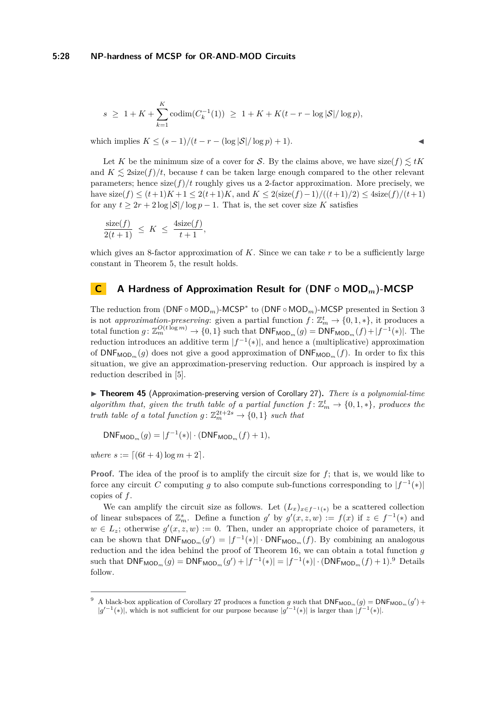$$
s \ge 1 + K + \sum_{k=1}^{K} \operatorname{codim}(C_k^{-1}(1)) \ge 1 + K + K(t - r - \log |\mathcal{S}| / \log p),
$$

which implies  $K \leq (s-1)/(t-r-(\log |\mathcal{S}|/\log p)+1)$ .

Let *K* be the minimum size of a cover for *S*. By the claims above, we have  $size(f) \leq tK$ and  $K \leq 2\text{size}(f)/t$ , because t can be taken large enough compared to the other relevant parameters; hence  $\text{size}(f)/t$  roughly gives us a 2-factor approximation. More precisely, we have  $size(f)$  ≤  $(t+1)K+1$  ≤  $2(t+1)K$ , and  $K$  ≤  $2(size(f)-1)/((t+1)/2)$  ≤  $4size(f)/(t+1)$ for any  $t \geq 2r + 2\log |\mathcal{S}|/\log p - 1$ . That is, the set cover size K satisfies

$$
\frac{\operatorname{size}(f)}{2(t+1)} \ \leq \ K \ \leq \ \frac{4\operatorname{size}(f)}{t+1},
$$

which gives an 8-factor approximation of *K*. Since we can take *r* to be a sufficiently large constant in Theorem [5,](#page-8-0) the result holds.

## <span id="page-27-0"></span>**C A Hardness of Approximation Result for (DNF ◦ MOD***m***)-MCSP**

The reduction from (DNF ∘ MOD<sub>*m*</sub>)-MCSP<sup>\*</sup> to (DNF ∘ MOD<sub>*m*</sub>)-MCSP presented in Section [3](#page-8-3) is not *approximation-preserving*: given a partial function  $f: \mathbb{Z}_m^t \to \{0, 1, *\}$ , it produces a total function  $g: \mathbb{Z}_m^{O(t \log m)} \to \{0,1\}$  such that  $\mathsf{DNF}_{\mathsf{MOD}_m}(g) = \mathsf{DNF}_{\mathsf{MOD}_m}(f) + |f^{-1}(*)|$ . The reduction introduces an additive term  $|f^{-1}(*)|$ , and hence a (multiplicative) approximation of  $\text{DNF}_{\text{MOD}_m}(g)$  does not give a good approximation of  $\text{DNF}_{\text{MOD}_m}(f)$ . In order to fix this situation, we give an approximation-preserving reduction. Our approach is inspired by a reduction described in [\[5\]](#page-21-0).

<span id="page-27-2"></span>▶ **Theorem 45** (Approximation-preserving version of Corollary [27\)](#page-17-2). *There is a polynomial-time algorithm that, given the truth table of a partial function*  $f: \mathbb{Z}_m^t \to \{0,1,*\}$ *, produces the truth table of a total function*  $g: \mathbb{Z}_m^{2t+2s} \to \{0,1\}$  *such that* 

 $DNF_{MOD_m}(g) = |f^{-1}(*)| \cdot (DNF_{MOD_m}(f) + 1),$ 

 $where s := [(6t + 4) \log m + 2].$ 

**Proof.** The idea of the proof is to amplify the circuit size for *f*; that is, we would like to force any circuit *C* computing *g* to also compute sub-functions corresponding to  $|f^{-1}(*)|$ copies of *f*.

We can amplify the circuit size as follows. Let  $(L_x)_{x \in f^{-1}(*)}$  be a scattered collection of linear subspaces of  $\mathbb{Z}_m^s$ . Define a function  $g'$  by  $g'(x, z, w) := f(x)$  if  $z \in f^{-1}(*)$  and  $w \in L_z$ ; otherwise  $g'(x, z, w) := 0$ . Then, under an appropriate choice of parameters, it can be shown that  $\text{DNF}_{\text{MOD}_m}(g') = |f^{-1}(*)| \cdot \text{DNF}_{\text{MOD}_m}(f)$ . By combining an analogous reduction and the idea behind the proof of Theorem [16,](#page-12-2) we can obtain a total function *g* such that  $DNF_{MOD_m}(g) = DNF_{MOD_m}(g') + |f^{-1}(*)| = |f^{-1}(*)| \cdot (DNF_{MOD_m}(f) + 1).^9$  $DNF_{MOD_m}(g) = DNF_{MOD_m}(g') + |f^{-1}(*)| = |f^{-1}(*)| \cdot (DNF_{MOD_m}(f) + 1).^9$  Details follow.

<span id="page-27-1"></span><sup>&</sup>lt;sup>9</sup> A black-box application of Corollary [27](#page-17-2) produces a function *g* such that  $\text{DNF}_{\text{MOD}_m}(g) = \text{DNF}_{\text{MOD}_m}(g') +$  $|g'^{-1}(*)|$ , which is not sufficient for our purpose because  $|g'^{-1}(*)|$  is larger than  $|f^{-1}(*)|$ .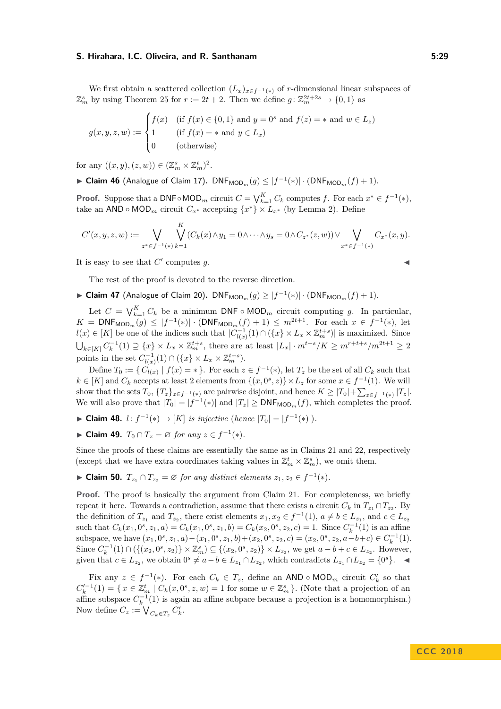We first obtain a scattered collection  $(L_x)_{x \in f^{-1}(\ast)}$  of *r*-dimensional linear subspaces of  $\mathbb{Z}_m^s$  by using Theorem [25](#page-16-2) for  $r := 2t + 2$ . Then we define  $g: \mathbb{Z}_m^{2t+2s} \to \{0,1\}$  as

$$
g(x, y, z, w) := \begin{cases} f(x) & \text{if } f(x) \in \{0, 1\} \text{ and } y = 0^s \text{ and } f(z) = * \text{ and } w \in L_z \\ 1 & \text{if } f(x) = * \text{ and } y \in L_x) \\ 0 & \text{ (otherwise)} \end{cases}
$$

for any  $((x, y), (z, w)) \in (\mathbb{Z}_m^s \times \mathbb{Z}_m^t)^2$ .

► Claim 46 (Analogue of Claim [17\)](#page-13-1).  $\mathsf{DNF}_{\mathsf{MOD}_m}(g) \leq |f^{-1}(*)| \cdot (\mathsf{DNF}_{\mathsf{MOD}_m}(f) + 1)$ .

**Proof.** Suppose that a DNF◦MOD<sub>*m*</sub> circuit  $C = \bigvee_{k=1}^{K} C_k$  computes  $f$ . For each  $x^* \in f^{-1}(*)$ , take an AND ∘ MOD<sub>*m*</sub> circuit  $C_{x^*}$  accepting  $\{x^*\}\times L_{x^*}$  (by Lemma [2\)](#page-6-1). Define

$$
C'(x,y,z,w) := \bigvee_{z^* \in f^{-1}(*)} \bigvee_{k=1}^K (C_k(x) \wedge y_1 = 0 \wedge \cdots \wedge y_s = 0 \wedge C_{z^*}(z,w)) \vee \bigvee_{x^* \in f^{-1}(*)} C_{x^*}(x,y).
$$

It is easy to see that  $C'$  computes  $g$ .

The rest of the proof is devoted to the reverse direction.

► Claim 47 (Analogue of Claim [20\)](#page-14-2).  $\mathsf{DNF}_{\mathsf{MOD}_m}(g) \geq |f^{-1}(*)| \cdot (\mathsf{DNF}_{\mathsf{MOD}_m}(f) + 1)$ .

Let  $C = \bigvee_{k=1}^{K} C_k$  be a minimum DNF ◦ MOD<sub>*m*</sub> circuit computing *g*. In particular,  $K = \text{DNF}_{\text{MOD}_m}(g) \leq |f^{-1}(*)| \cdot (\text{DNF}_{\text{MOD}_m}(f) + 1) \leq m^{2t+1}$ . For each  $x \in f^{-1}(*)$ , let *l*(*x*) ∈ [*K*] be one of the indices such that  $|C^{-1}_{l(x)}(1) \cap (\lbrace x \rbrace \times L_x \times \mathbb{Z}_{m}^{t+s})|$  is maximized. Since  $\bigcup_{k\in[K]} C_k^{-1}(1) \supseteq \{x\} \times L_x \times \mathbb{Z}_m^{t+s}$ , there are at least  $|L_x| \cdot m^{t+s}/K \geq m^{r+t+s}/m^{2t+1} \geq 2$ points in the set  $C_{l(x)}^{-1}(1) \cap (\lbrace x \rbrace \times L_x \times \mathbb{Z}_m^{t+s}).$ 

Define  $T_0 := \{ C_{l(x)} \mid f(x) = * \}$ . For each  $z \in f^{-1}(*)$ , let  $T_z$  be the set of all  $C_k$  such that  $k \in [K]$  and  $C_k$  accepts at least 2 elements from  $\{(x, 0^s, z)\}\times L_z$  for some  $x \in f^{-1}(1)$ . We will show that the sets  $T_0$ ,  ${T_z}_{z \in f^{-1}(*)}$  are pairwise disjoint, and hence  $K \geq |T_0| + \sum_{z \in f^{-1}(*)} |T_z|$ . We will also prove that  $|T_0| = |f^{-1}(*)|$  and  $|T_z| \geq \text{DNF}_{\text{MOD}_m}(f)$ , which completes the proof.

- ► Claim 48. *l*:  $f^{-1}(*)$  → [*K*] *is injective* (*hence*  $|T_0| = |f^{-1}(*)|$ ).
- ► Claim 49.  $T_0 \cap T_z = \emptyset$  for any  $z \in f^{-1}(*)$ .

Since the proofs of these claims are essentially the same as in Claims [21](#page-14-0) and [22,](#page-14-3) respectively (except that we have extra coordinates taking values in  $\mathbb{Z}_m^t \times \mathbb{Z}_m^s$ ), we omit them.

► Claim 50.  $T_{z_1} \cap T_{z_2} = \emptyset$  for any distinct elements  $z_1, z_2 \in f^{-1}(*)$ .

**Proof.** The proof is basically the argument from Claim [21.](#page-14-0) For completeness, we briefly repeat it here. Towards a contradiction, assume that there exists a circuit  $C_k$  in  $T_{z_1} \cap T_{z_2}$ . By the definition of  $T_{z_1}$  and  $T_{z_2}$ , there exist elements  $x_1, x_2 \in f^{-1}(1)$ ,  $a \neq b \in L_{z_1}$ , and  $c \in L_{z_2}$ such that  $C_k(x_1, 0^s, z_1, a) = C_k(x_1, 0^s, z_1, b) = C_k(x_2, 0^s, z_2, c) = 1$ . Since  $C_k^{-1}(1)$  is an affine subspace, we have  $(x_1, 0^s, z_1, a) - (x_1, 0^s, z_1, b) + (x_2, 0^s, z_2, c) = (x_2, 0^s, z_2, a - b + c) \in C_k^{-1}(1)$ . Since  $C_k^{-1}(1) \cap (\{(x_2, 0^s, z_2)\} \times \mathbb{Z}_m^s) \subseteq \{(x_2, 0^s, z_2)\} \times L_{z_2}$ , we get  $a - b + c \in L_{z_2}$ . However, given that  $c \in L_{z_2}$ , we obtain  $0^s \neq a-b \in L_{z_1} \cap L_{z_2}$ , which contradicts  $L_{z_1} \cap L_{z_2} = \{0^s\}$ .

Fix any  $z \in f^{-1}(*)$ . For each  $C_k \in T_z$ , define an AND  $\circ$  MOD<sub>*m*</sub> circuit  $C'_k$  so that  $C_k'^{-1}(1) = \{ x \in \mathbb{Z}_m^t \mid C_k(x, 0^s, z, w) = 1 \text{ for some } w \in \mathbb{Z}_m^s \}.$  (Note that a projection of an  $C_k$  (1)  $C_k = \sum_{m=1}^k C_k(x, 0^k, z, w) = 1$  for some  $w \in \mathbb{Z}_m$  *f*. (Note that a projection of all affine subspace  $C_k^{-1}(1)$  is again an affine subpace because a projection is a homomorphism.) Now define  $C_z := \bigvee_{C_k \in T_z} C'_k$ .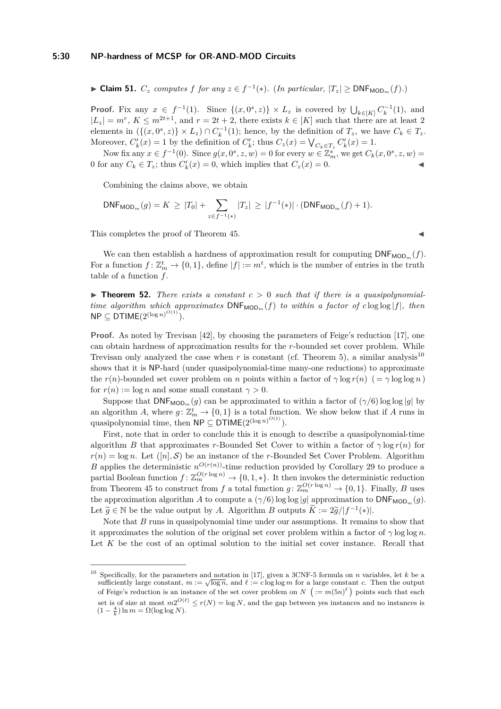► Claim 51.  $C_z$  computes  $f$   $for$   $any$   $z \in f^{-1}(*)$ . (*In particular,*  $|T_z|$  ≥ DNF<sub>MOD<sub>*m</sub>*( $f$ )*.*)</sub></sub>

**Proof.** Fix any  $x \in f^{-1}(1)$ . Since  $\{(x, 0^s, z)\}\times L_z$  is covered by  $\bigcup_{k\in [K]} C_k^{-1}(1)$ , and  $|L_z| = m^r$ ,  $K \leq m^{2t+1}$ , and  $r = 2t + 2$ , there exists  $k \in [K]$  such that there are at least 2 elements in  $(\{(x, 0^s, z)\} \times L_z) \cap C_k^{-1}(1)$ ; hence, by the definition of  $T_z$ , we have  $C_k \in T_z$ . Moreover,  $C'_{k}(x) = 1$  by the definition of  $C'_{k}$ ; thus  $C_{z}(x) = \bigvee_{C_{k} \in T_{z}} C'_{k}(x) = 1$ .

Now fix any  $x \in f^{-1}(0)$ . Since  $g(x, 0^s, z, w) = 0$  for every  $w \in \mathbb{Z}_m^s$ , we get  $C_k(x, 0^s, z, w) =$ 0 for any  $C_k \in T_z$ ; thus  $C'_k(x) = 0$ , which implies that  $C_z(x) = 0$ .

Combining the claims above, we obtain

$$
\mathsf{DNF}_{\mathsf{MOD}_m}(g) = K \geq |T_0| + \sum_{z \in f^{-1}(\mathbf{A})} |T_z| \geq |f^{-1}(\mathbf{A})| \cdot (\mathsf{DNF}_{\mathsf{MOD}_m}(f) + 1).
$$

This completes the proof of Theorem [45.](#page-27-2)

We can then establish a hardness of approximation result for computing  $DNF_{MOD_m}(f)$ . For a function  $f: \mathbb{Z}_m^t \to \{0,1\}$ , define  $|f| := m^t$ , which is the number of entries in the truth table of a function *f*.

**Figure 12.** There exists a constant  $c > 0$  such that if there is a quasipolynomial*time algorithm which approximates*  $DNF_{MOD_m}(f)$  *to within a factor of c* log  $|f|$ *, then*  $\mathsf{NP} \subseteq \mathsf{DTIME}(2^{(\log n)^{O(1)}}).$ 

**Proof.** As noted by Trevisan [\[42\]](#page-24-5), by choosing the parameters of Feige's reduction [\[17\]](#page-22-11), one can obtain hardness of approximation results for the *r*-bounded set cover problem. While Trevisan only analyzed the case when  $r$  is constant (cf. Theorem [5\)](#page-8-0), a similar analysis<sup>[10](#page-29-0)</sup> shows that it is NP-hard (under quasipolynomial-time many-one reductions) to approximate the *r*(*n*)-bounded set cover problem on *n* points within a factor of  $\gamma \log r(n)$  (=  $\gamma \log \log n$ ) for  $r(n) := \log n$  and some small constant  $\gamma > 0$ .

Suppose that  $DNF_{MOD_m}(g)$  can be approximated to within a factor of  $(\gamma/6) \log \log |g|$  by an algorithm *A*, where  $g: \mathbb{Z}_m^t \to \{0,1\}$  is a total function. We show below that if *A* runs in quasipolynomial time, then  $\mathsf{NP} \subseteq \mathsf{DTIME}(2^{(\log n)^{O(1)}})$ .

First, note that in order to conclude this it is enough to describe a quasipolynomial-time algorithm *B* that approximates *r*-Bounded Set Cover to within a factor of  $\gamma \log r(n)$  for  $r(n) = \log n$ . Let  $([n], \mathcal{S})$  be an instance of the *r*-Bounded Set Cover Problem. Algorithm *B* applies the deterministic  $n^{O(r(n))}$ -time reduction provided by Corollary [29](#page-18-2) to produce a partial Boolean function  $f: \mathbb{Z}_m^{O(r \log n)} \to \{0, 1, *\}$ . It then invokes the deterministic reduction from Theorem [45](#page-27-2) to construct from *f* a total function  $g: \mathbb{Z}_m^{O(r \log n)} \to \{0,1\}$ . Finally, *B* uses the approximation algorithm *A* to compute a  $(\gamma/6)$  log log |*g*| approximation to  $DNF_{MOD_m}(g)$ . Let  $\widetilde{g} \in \mathbb{N}$  be the value output by *A*. Algorithm *B* outputs  $\widetilde{K} := 2\widetilde{g}/|f^{-1}(*)|$ .

Note that *B* runs in quasipolynomial time under our assumptions. It remains to show that it approximates the solution of the original set cover problem within a factor of *γ* log log *n*. Let K be the cost of an optimal solution to the initial set cover instance. Recall that

<span id="page-29-0"></span><sup>10</sup> Specifically, for the parameters and notation in [\[17\]](#page-22-11), given a 3CNF-5 formula on *n* variables, let *k* be a specifically, for the parameters and notation in [17], given a 3CNF-5 formula on *n* variables, let *k* be a sufficiently large constant,  $m := \sqrt{\log n}$ , and  $\ell := c \log \log m$  for a large constant *c*. Then the output of Feige's reduction is an instance of the set cover problem on  $N$   $( := m(5n)^{\ell} )$  points such that each set is of size at most  $m2^{O(\ell)} \le r(N) = \log N$ , and the gap between yes instances and no instances is  $(1 - \frac{4}{k}) \ln m = \Omega(\log \log N).$